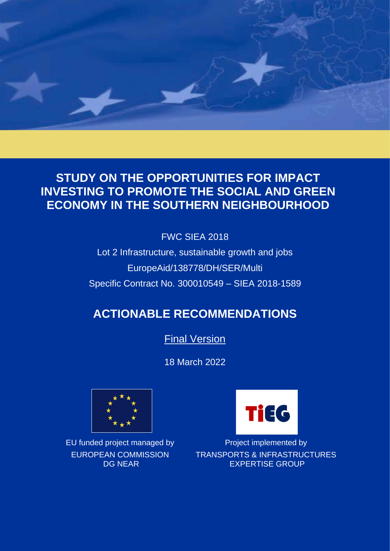

# **STUDY ON THE OPPORTUNITIES FOR IMPACT INVESTING TO PROMOTE THE SOCIAL AND GREEN ECONOMY IN THE SOUTHERN NEIGHBOURHOOD**

FWC SIEA 2018

Lot 2 Infrastructure, sustainable growth and jobs EuropeAid/138778/DH/SER/Multi Specific Contract No. 300010549 – SIEA 2018-1589

# **ACTIONABLE RECOMMENDATIONS**

**Final Version** 

18 March 2022



EUROPEAN COMMISSION DG NEAR



EU funded project managed by Project implemented by TRANSPORTS & INFRASTRUCTURES EXPERTISE GROUP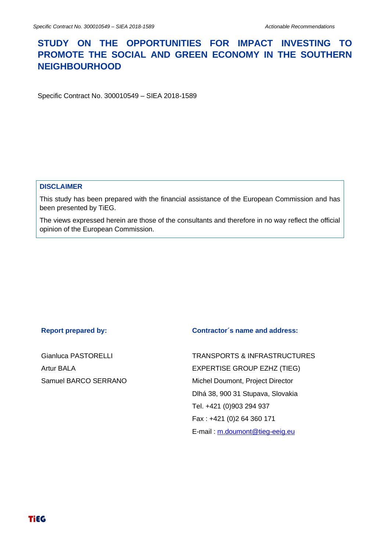# **STUDY ON THE OPPORTUNITIES FOR IMPACT INVESTING TO PROMOTE THE SOCIAL AND GREEN ECONOMY IN THE SOUTHERN NEIGHBOURHOOD**

Specific Contract No. 300010549 – SIEA 2018-1589

#### **DISCLAIMER**

This study has been prepared with the financial assistance of the European Commission and has been presented by TiEG.

The views expressed herein are those of the consultants and therefore in no way reflect the official opinion of the European Commission.

Gianluca PASTORELLI Artur BALA Samuel BARCO SERRANO

#### **Report prepared by: Contractor´s name and address:**

TRANSPORTS & INFRASTRUCTURES EXPERTISE GROUP EZHZ (TIEG) Michel Doumont, Project Director Dlhá 38, 900 31 Stupava, Slovakia Tel. +421 (0)903 294 937 Fax : +421 (0)2 64 360 171 E-mail : [m.doumont@tieg-eeig.eu](mailto:m.doumont@tieg-eeig.eu)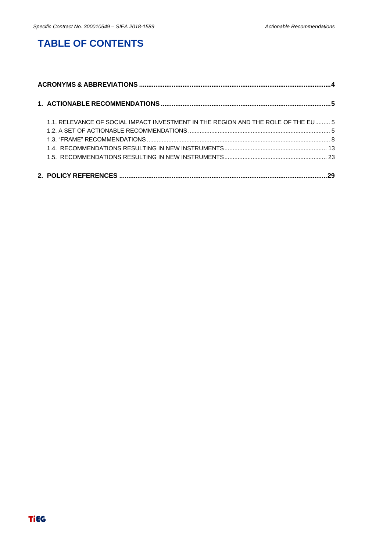# **TABLE OF CONTENTS**

| 1.1. RELEVANCE OF SOCIAL IMPACT INVESTMENT IN THE REGION AND THE ROLE OF THE EU 5 |  |
|-----------------------------------------------------------------------------------|--|
|                                                                                   |  |
|                                                                                   |  |
|                                                                                   |  |
|                                                                                   |  |
|                                                                                   |  |
|                                                                                   |  |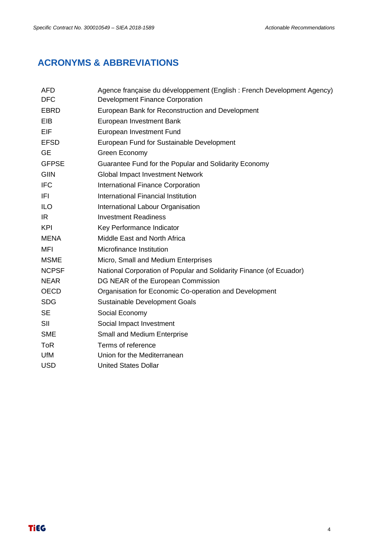# <span id="page-3-0"></span>**ACRONYMS & ABBREVIATIONS**

| <b>AFD</b><br><b>DFC</b> | Agence française du développement (English : French Development Agency)<br>Development Finance Corporation |  |  |  |  |  |
|--------------------------|------------------------------------------------------------------------------------------------------------|--|--|--|--|--|
| <b>EBRD</b>              | European Bank for Reconstruction and Development                                                           |  |  |  |  |  |
| EIB                      | European Investment Bank                                                                                   |  |  |  |  |  |
| <b>EIF</b>               | European Investment Fund                                                                                   |  |  |  |  |  |
| <b>EFSD</b>              | European Fund for Sustainable Development                                                                  |  |  |  |  |  |
| <b>GE</b>                | Green Economy                                                                                              |  |  |  |  |  |
| <b>GFPSE</b>             | Guarantee Fund for the Popular and Solidarity Economy                                                      |  |  |  |  |  |
| <b>GIIN</b>              | <b>Global Impact Investment Network</b>                                                                    |  |  |  |  |  |
| <b>IFC</b>               | <b>International Finance Corporation</b>                                                                   |  |  |  |  |  |
| IFI                      | International Financial Institution                                                                        |  |  |  |  |  |
| <b>ILO</b>               | International Labour Organisation                                                                          |  |  |  |  |  |
| IR.                      | <b>Investment Readiness</b>                                                                                |  |  |  |  |  |
| <b>KPI</b>               | Key Performance Indicator                                                                                  |  |  |  |  |  |
| <b>MENA</b>              | Middle East and North Africa                                                                               |  |  |  |  |  |
| MFI                      | Microfinance Institution                                                                                   |  |  |  |  |  |
| <b>MSME</b>              | Micro, Small and Medium Enterprises                                                                        |  |  |  |  |  |
| <b>NCPSF</b>             | National Corporation of Popular and Solidarity Finance (of Ecuador)                                        |  |  |  |  |  |
| <b>NEAR</b>              | DG NEAR of the European Commission                                                                         |  |  |  |  |  |
| <b>OECD</b>              | Organisation for Economic Co-operation and Development                                                     |  |  |  |  |  |
| <b>SDG</b>               | Sustainable Development Goals                                                                              |  |  |  |  |  |
| <b>SE</b>                | Social Economy                                                                                             |  |  |  |  |  |
| SII                      | Social Impact Investment                                                                                   |  |  |  |  |  |
| <b>SME</b>               | Small and Medium Enterprise                                                                                |  |  |  |  |  |
| <b>ToR</b>               | Terms of reference                                                                                         |  |  |  |  |  |
| <b>UfM</b>               | Union for the Mediterranean                                                                                |  |  |  |  |  |
| <b>USD</b>               | <b>United States Dollar</b>                                                                                |  |  |  |  |  |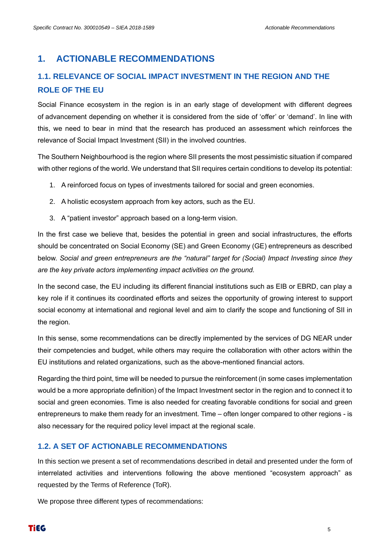## <span id="page-4-0"></span>**1. ACTIONABLE RECOMMENDATIONS**

# <span id="page-4-1"></span>**1.1. RELEVANCE OF SOCIAL IMPACT INVESTMENT IN THE REGION AND THE ROLE OF THE EU**

Social Finance ecosystem in the region is in an early stage of development with different degrees of advancement depending on whether it is considered from the side of 'offer' or 'demand'. In line with this, we need to bear in mind that the research has produced an assessment which reinforces the relevance of Social Impact Investment (SII) in the involved countries.

The Southern Neighbourhood is the region where SII presents the most pessimistic situation if compared with other regions of the world. We understand that SII requires certain conditions to develop its potential:

- 1. A reinforced focus on types of investments tailored for social and green economies.
- 2. A holistic ecosystem approach from key actors, such as the EU.
- 3. A "patient investor" approach based on a long-term vision.

In the first case we believe that, besides the potential in green and social infrastructures, the efforts should be concentrated on Social Economy (SE) and Green Economy (GE) entrepreneurs as described below. *Social and green entrepreneurs are the "natural" target for (Social) Impact Investing since they are the key private actors implementing impact activities on the ground.*

In the second case, the EU including its different financial institutions such as EIB or EBRD, can play a key role if it continues its coordinated efforts and seizes the opportunity of growing interest to support social economy at international and regional level and aim to clarify the scope and functioning of SII in the region.

In this sense, some recommendations can be directly implemented by the services of DG NEAR under their competencies and budget, while others may require the collaboration with other actors within the EU institutions and related organizations, such as the above-mentioned financial actors.

Regarding the third point, time will be needed to pursue the reinforcement (in some cases implementation would be a more appropriate definition) of the Impact Investment sector in the region and to connect it to social and green economies. Time is also needed for creating favorable conditions for social and green entrepreneurs to make them ready for an investment. Time – often longer compared to other regions - is also necessary for the required policy level impact at the regional scale.

#### <span id="page-4-2"></span>**1.2. A SET OF ACTIONABLE RECOMMENDATIONS**

In this section we present a set of recommendations described in detail and presented under the form of interrelated activities and interventions following the above mentioned "ecosystem approach" as requested by the Terms of Reference (ToR).

We propose three different types of recommendations: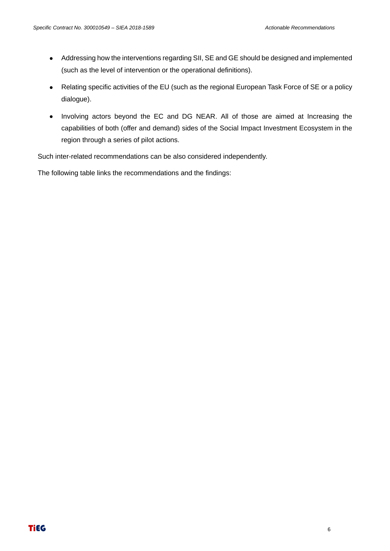- Addressing how the interventions regarding SII, SE and GE should be designed and implemented (such as the level of intervention or the operational definitions).
- Relating specific activities of the EU (such as the regional European Task Force of SE or a policy dialogue).
- Involving actors beyond the EC and DG NEAR. All of those are aimed at Increasing the capabilities of both (offer and demand) sides of the Social Impact Investment Ecosystem in the region through a series of pilot actions.

Such inter-related recommendations can be also considered independently.

The following table links the recommendations and the findings: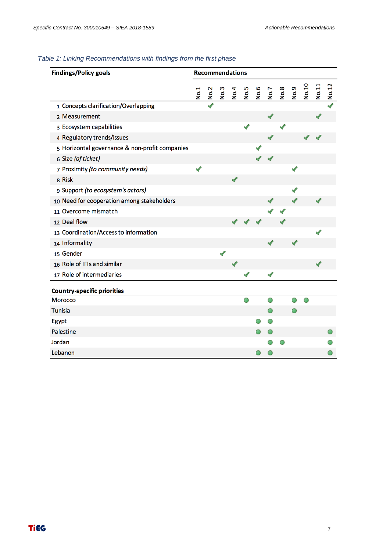#### *Table 1: Linking Recommendations with findings from the first phase*

| <b>Findings/Policy goals</b>                   | <b>Recommendations</b> |      |      |             |      |      |      |             |      |       |       |       |
|------------------------------------------------|------------------------|------|------|-------------|------|------|------|-------------|------|-------|-------|-------|
|                                                | $\overline{N}$         | No.2 | No.3 | <b>No.4</b> | No.5 | No.6 | No.7 | <b>No.8</b> | No.9 | No.10 | No.11 | No.12 |
| 1 Concepts clarification/Overlapping           |                        |      |      |             |      |      |      |             |      |       |       |       |
| 2 Measurement                                  |                        |      |      |             |      |      |      |             |      |       |       |       |
| 3 Ecosystem capabilities                       |                        |      |      |             |      |      |      |             |      |       |       |       |
| 4 Regulatory trends/issues                     |                        |      |      |             |      |      |      |             |      |       |       |       |
| 5 Horizontal governance & non-profit companies |                        |      |      |             |      |      |      |             |      |       |       |       |
| 6 Size (of ticket)                             |                        |      |      |             |      |      |      |             |      |       |       |       |
| 7 Proximity (to community needs)               |                        |      |      |             |      |      |      |             |      |       |       |       |
| 8 Risk                                         |                        |      |      | ৶           |      |      |      |             |      |       |       |       |
| 9 Support (to ecosystem's actors)              |                        |      |      |             |      |      |      |             |      |       |       |       |
| 10 Need for cooperation among stakeholders     |                        |      |      |             |      |      |      |             |      |       |       |       |
| 11 Overcome mismatch                           |                        |      |      |             |      |      |      |             |      |       |       |       |
| 12 Deal flow                                   |                        |      |      |             |      |      |      |             |      |       |       |       |
| 13 Coordination/Access to information          |                        |      |      |             |      |      |      |             |      |       |       |       |
| 14 Informality                                 |                        |      |      |             |      |      |      |             |      |       |       |       |
| 15 Gender                                      |                        |      |      |             |      |      |      |             |      |       |       |       |
| 16 Role of IFIs and similar                    |                        |      |      |             |      |      |      |             |      |       |       |       |
| 17 Role of intermediaries                      |                        |      |      |             |      |      |      |             |      |       |       |       |
| <b>Country-specific priorities</b>             |                        |      |      |             |      |      |      |             |      |       |       |       |
| <b>Morocco</b>                                 |                        |      |      |             | Ο    |      | O    |             |      | O     |       |       |
| <b>Tunisia</b>                                 |                        |      |      |             |      |      | O    |             |      |       |       |       |
| Egypt                                          |                        |      |      |             |      |      |      |             |      |       |       |       |
| <b>Palestine</b>                               |                        |      |      |             |      |      |      |             |      |       |       |       |
| Jordan                                         |                        |      |      |             |      |      |      |             |      |       |       |       |
| Lebanon                                        |                        |      |      |             |      |      |      |             |      |       |       |       |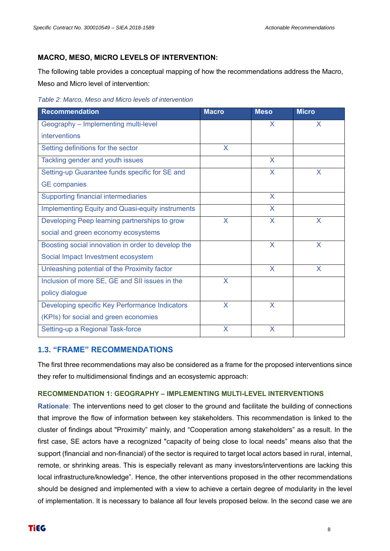#### **MACRO, MESO, MICRO LEVELS OF INTERVENTION:**

The following table provides a conceptual mapping of how the recommendations address the Macro, Meso and Micro level of intervention:

*Table 2: Marco, Meso and Micro levels of intervention* 

| <b>Recommendation</b>                              | <b>Macro</b> | <b>Meso</b>             | <b>Micro</b> |
|----------------------------------------------------|--------------|-------------------------|--------------|
| Geography - Implementing multi-level               |              | X.                      | X            |
| interventions                                      |              |                         |              |
| Setting definitions for the sector                 | X            |                         |              |
| Tackling gender and youth issues                   |              | X                       |              |
| Setting-up Guarantee funds specific for SE and     |              | X                       | X            |
| <b>GE</b> companies                                |              |                         |              |
| Supporting financial intermediaries                |              | X                       |              |
| Implementing Equity and Quasi-equity instruments   |              | $\overline{\mathsf{X}}$ |              |
| Developing Peep learning partnerships to grow      | X            | $\overline{\mathsf{X}}$ | X            |
| social and green economy ecosystems                |              |                         |              |
| Boosting social innovation in order to develop the |              | X                       | X            |
| Social Impact Investment ecosystem                 |              |                         |              |
| Unleashing potential of the Proximity factor       |              | X                       | X            |
| Inclusion of more SE, GE and SII issues in the     | X            |                         |              |
| policy dialogue                                    |              |                         |              |
| Developing specific Key Performance Indicators     | X            | X                       |              |
| (KPIs) for social and green economies              |              |                         |              |
| Setting-up a Regional Task-force                   | X            | X                       |              |

#### <span id="page-7-0"></span>**1.3. "FRAME" RECOMMENDATIONS**

The first three recommendations may also be considered as a frame for the proposed interventions since they refer to multidimensional findings and an ecosystemic approach:

#### **RECOMMENDATION 1: GEOGRAPHY – IMPLEMENTING MULTI-LEVEL INTERVENTIONS**

**Rationale**: The interventions need to get closer to the ground and facilitate the building of connections that improve the flow of information between key stakeholders. This recommendation is linked to the cluster of findings about "Proximity" mainly, and "Cooperation among stakeholders" as a result. In the first case, SE actors have a recognized "capacity of being close to local needs" means also that the support (financial and non-financial) of the sector is required to target local actors based in rural, internal, remote, or shrinking areas. This is especially relevant as many investors/interventions are lacking this local infrastructure/knowledge". Hence, the other interventions proposed in the other recommendations should be designed and implemented with a view to achieve a certain degree of modularity in the level of implementation. It is necessary to balance all four levels proposed below. In the second case we are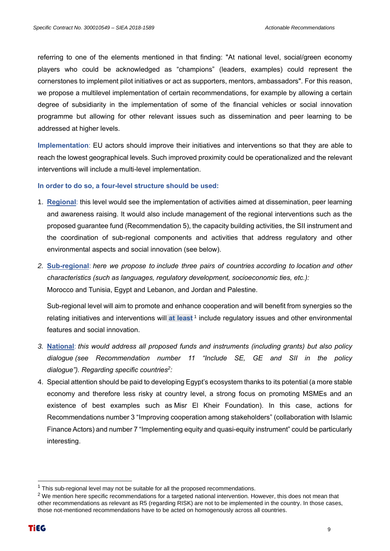referring to one of the elements mentioned in that finding: "At national level, social/green economy players who could be acknowledged as "champions" (leaders, examples) could represent the cornerstones to implement pilot initiatives or act as supporters, mentors, ambassadors". For this reason, we propose a multilevel implementation of certain recommendations, for example by allowing a certain degree of subsidiarity in the implementation of some of the financial vehicles or social innovation programme but allowing for other relevant issues such as dissemination and peer learning to be addressed at higher levels.

**Implementation**: EU actors should improve their initiatives and interventions so that they are able to reach the lowest geographical levels. Such improved proximity could be operationalized and the relevant interventions will include a multi-level implementation.

#### **In order to do so, a four-level structure should be used:**

- 1. **Regional**: this level would see the implementation of activities aimed at dissemination, peer learning and awareness raising. It would also include management of the regional interventions such as the proposed guarantee fund (Recommendation 5), the capacity building activities, the SII instrument and the coordination of sub-regional components and activities that address regulatory and other environmental aspects and social innovation (see below).
- *2.* **Sub-regional**: *here we propose to include three pairs of countries according to location and other characteristics (such as languages, regulatory development, socioeconomic ties, etc.):*  Morocco and Tunisia, Egypt and Lebanon, and Jordan and Palestine.

Sub-regional level will aim to promote and enhance cooperation and will benefit from synergies so the relating initiatives and interventions will at least<sup>1</sup> include regulatory issues and other environmental features and social innovation.

- *3.* **National**: *this would address all proposed funds and instruments (including grants) but also policy dialogue (see Recommendation number 11 "Include SE, GE and SII in the policy dialogue"). Regarding specific countries<sup>2</sup> :*
- 4. Special attention should be paid to developing Egypt's ecosystem thanks to its potential (a more stable economy and therefore less risky at country level, a strong focus on promoting MSMEs and an existence of best examples such as Misr El Kheir Foundation). In this case, actions for Recommendations number 3 "Improving cooperation among stakeholders" (collaboration with Islamic Finance Actors) and number 7 "Implementing equity and quasi-equity instrument" could be particularly interesting.

 $1$  This sub-regional level may not be suitable for all the proposed recommendations.

 $2$  We mention here specific recommendations for a targeted national intervention. However, this does not mean that other recommendations as relevant as R5 (regarding RISK) are not to be implemented in the country. In those cases, those not-mentioned recommendations have to be acted on homogenously across all countries.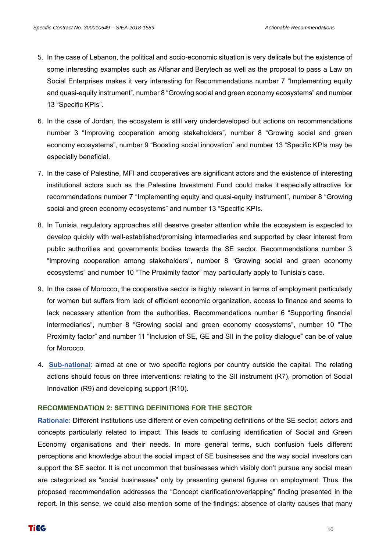- 5. In the case of Lebanon, the political and socio-economic situation is very delicate but the existence of some interesting examples such as Alfanar and Berytech as well as the proposal to pass a Law on Social Enterprises makes it very interesting for Recommendations number 7 "Implementing equity and quasi-equity instrument", number 8 "Growing social and green economy ecosystems" and number 13 "Specific KPIs".
- 6. In the case of Jordan, the ecosystem is still very underdeveloped but actions on recommendations number 3 "Improving cooperation among stakeholders", number 8 "Growing social and green economy ecosystems", number 9 "Boosting social innovation" and number 13 "Specific KPIs may be especially beneficial.
- 7. In the case of Palestine, MFI and cooperatives are significant actors and the existence of interesting institutional actors such as the Palestine Investment Fund could make it especially attractive for recommendations number 7 "Implementing equity and quasi-equity instrument", number 8 "Growing social and green economy ecosystems" and number 13 "Specific KPIs.
- 8. In Tunisia, regulatory approaches still deserve greater attention while the ecosystem is expected to develop quickly with well-established/promising intermediaries and supported by clear interest from public authorities and governments bodies towards the SE sector. Recommendations number 3 "Improving cooperation among stakeholders", number 8 "Growing social and green economy ecosystems" and number 10 "The Proximity factor" may particularly apply to Tunisia's case.
- 9. In the case of Morocco, the cooperative sector is highly relevant in terms of employment particularly for women but suffers from lack of efficient economic organization, access to finance and seems to lack necessary attention from the authorities. Recommendations number 6 "Supporting financial intermediaries", number 8 "Growing social and green economy ecosystems", number 10 "The Proximity factor" and number 11 "Inclusion of SE, GE and SII in the policy dialogue" can be of value for Morocco.
- 4. **Sub-national**: aimed at one or two specific regions per country outside the capital. The relating actions should focus on three interventions: relating to the SII instrument (R7), promotion of Social Innovation (R9) and developing support (R10).

#### **RECOMMENDATION 2: SETTING DEFINITIONS FOR THE SECTOR**

**Rationale**: Different institutions use different or even competing definitions of the SE sector, actors and concepts particularly related to impact. This leads to confusing identification of Social and Green Economy organisations and their needs. In more general terms, such confusion fuels different perceptions and knowledge about the social impact of SE businesses and the way social investors can support the SE sector. It is not uncommon that businesses which visibly don't pursue any social mean are categorized as "social businesses" only by presenting general figures on employment. Thus, the proposed recommendation addresses the "Concept clarification/overlapping" finding presented in the report. In this sense, we could also mention some of the findings: absence of clarity causes that many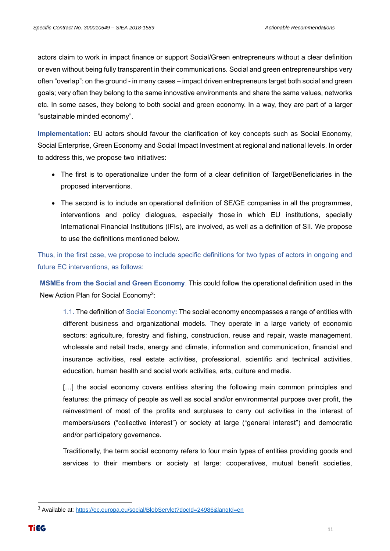actors claim to work in impact finance or support Social/Green entrepreneurs without a clear definition or even without being fully transparent in their communications. Social and green entrepreneurships very often "overlap": on the ground - in many cases – impact driven entrepreneurs target both social and green goals; very often they belong to the same innovative environments and share the same values, networks etc. In some cases, they belong to both social and green economy. In a way, they are part of a larger "sustainable minded economy".

**Implementation**: EU actors should favour the clarification of key concepts such as Social Economy, Social Enterprise, Green Economy and Social Impact Investment at regional and national levels. In order to address this, we propose two initiatives:

- The first is to operationalize under the form of a clear definition of Target/Beneficiaries in the proposed interventions.
- The second is to include an operational definition of SE/GE companies in all the programmes, interventions and policy dialogues, especially those in which EU institutions, specially International Financial Institutions (IFIs), are involved, as well as a definition of SII. We propose to use the definitions mentioned below.

Thus, in the first case, we propose to include specific definitions for two types of actors in ongoing and future EC interventions, as follows:

**MSMEs from the Social and Green Economy**. This could follow the operational definition used in the New Action Plan for Social Economy<sup>3</sup>:

1.1. The definition of Social Economy**:** The social economy encompasses a range of entities with different business and organizational models. They operate in a large variety of economic sectors: agriculture, forestry and fishing, construction, reuse and repair, waste management, wholesale and retail trade, energy and climate, information and communication, financial and insurance activities, real estate activities, professional, scientific and technical activities, education, human health and social work activities, arts, culture and media.

[...] the social economy covers entities sharing the following main common principles and features: the primacy of people as well as social and/or environmental purpose over profit, the reinvestment of most of the profits and surpluses to carry out activities in the interest of members/users ("collective interest") or society at large ("general interest") and democratic and/or participatory governance.

Traditionally, the term social economy refers to four main types of entities providing goods and services to their members or society at large: cooperatives, mutual benefit societies,

<sup>3</sup> Available at:<https://ec.europa.eu/social/BlobServlet?docId=24986&langId=en>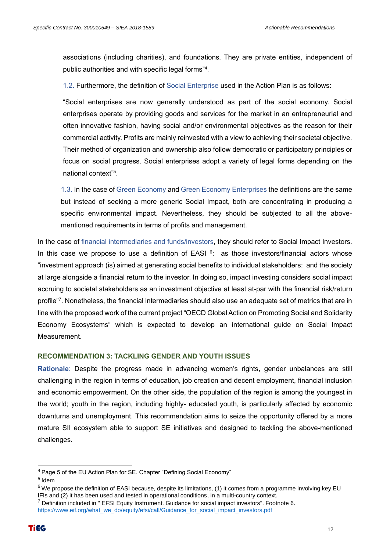associations (including charities), and foundations. They are private entities, independent of public authorities and with specific legal forms"<sup>4</sup> .

1.2. Furthermore, the definition of Social Enterprise used in the Action Plan is as follows:

"Social enterprises are now generally understood as part of the social economy. Social enterprises operate by providing goods and services for the market in an entrepreneurial and often innovative fashion, having social and/or environmental objectives as the reason for their commercial activity. Profits are mainly reinvested with a view to achieving their societal objective. Their method of organization and ownership also follow democratic or participatory principles or focus on social progress. Social enterprises adopt a variety of legal forms depending on the national context"<sup>5</sup> .

1.3. In the case of Green Economy and Green Economy Enterprises the definitions are the same but instead of seeking a more generic Social Impact, both are concentrating in producing a specific environmental impact. Nevertheless, they should be subjected to all the abovementioned requirements in terms of profits and management.

In the case of financial intermediaries and funds/investors, they should refer to Social Impact Investors. In this case we propose to use a definition of EASI  $6$ : as those investors/financial actors whose "investment approach (is) aimed at generating social benefits to individual stakeholders: and the society at large alongside a financial return to the investor. In doing so, impact investing considers social impact accruing to societal stakeholders as an investment objective at least at-par with the financial risk/return profile"<sup>7</sup> . Nonetheless, the financial intermediaries should also use an adequate set of metrics that are in line with the proposed work of the current project "OECD Global Action on Promoting Social and Solidarity Economy Ecosystems" which is expected to develop an international guide on Social Impact **Measurement** 

#### **RECOMMENDATION 3: TACKLING GENDER AND YOUTH ISSUES**

**Rationale**: Despite the progress made in advancing women's rights, gender unbalances are still challenging in the region in terms of education, job creation and decent employment, financial inclusion and economic empowerment. On the other side, the population of the region is among the youngest in the world; youth in the region, including highly- educated youth, is particularly affected by economic downturns and unemployment. This recommendation aims to seize the opportunity offered by a more mature SII ecosystem able to support SE initiatives and designed to tackling the above-mentioned challenges.

<sup>4</sup> Page 5 of the EU Action Plan for SE. Chapter "Defining Social Economy"

<sup>&</sup>lt;sup>5</sup> Idem

 $6$  We propose the definition of EASI because, despite its limitations, (1) it comes from a programme involving key EU IFIs and (2) it has been used and tested in operational conditions, in a multi-country context.

<sup>&</sup>lt;sup>7</sup> Definition included in " EFSI Equity Instrument. Guidance for social impact investors". Footnote 6. [https://www.eif.org/what\\_we\\_do/equity/efsi/call/Guidance\\_for\\_social\\_impact\\_investors.pdf](https://www.eif.org/what_we_do/equity/efsi/call/Guidance_for_social_impact_investors.pdf)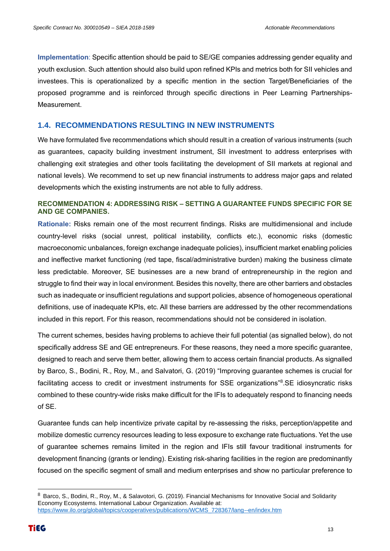**Implementation**: Specific attention should be paid to SE/GE companies addressing gender equality and youth exclusion. Such attention should also build upon refined KPIs and metrics both for SII vehicles and investees. This is operationalized by a specific mention in the section Target/Beneficiaries of the proposed programme and is reinforced through specific directions in Peer Learning Partnerships-Measurement.

#### <span id="page-12-0"></span>**1.4. RECOMMENDATIONS RESULTING IN NEW INSTRUMENTS**

We have formulated five recommendations which should result in a creation of various instruments (such as guarantees, capacity building investment instrument, SII investment to address enterprises with challenging exit strategies and other tools facilitating the development of SII markets at regional and national levels). We recommend to set up new financial instruments to address major gaps and related developments which the existing instruments are not able to fully address.

#### **RECOMMENDATION 4: ADDRESSING RISK – SETTING A GUARANTEE FUNDS SPECIFIC FOR SE AND GE COMPANIES.**

**Rationale:** Risks remain one of the most recurrent findings. Risks are multidimensional and include country-level risks (social unrest, political instability, conflicts etc.), economic risks (domestic macroeconomic unbalances, foreign exchange inadequate policies), insufficient market enabling policies and ineffective market functioning (red tape, fiscal/administrative burden) making the business climate less predictable. Moreover, SE businesses are a new brand of entrepreneurship in the region and struggle to find their way in local environment. Besides this novelty, there are other barriers and obstacles such as inadequate or insufficient regulations and support policies, absence of homogeneous operational definitions, use of inadequate KPIs, etc. All these barriers are addressed by the other recommendations included in this report. For this reason, recommendations should not be considered in isolation.

The current schemes, besides having problems to achieve their full potential (as signalled below), do not specifically address SE and GE entrepreneurs. For these reasons, they need a more specific guarantee, designed to reach and serve them better, allowing them to access certain financial products. As signalled by Barco, S., Bodini, R., Roy, M., and Salvatori, G. (2019) "Improving guarantee schemes is crucial for facilitating access to credit or investment instruments for SSE organizations"<sup>8</sup>.SE idiosyncratic risks combined to these country-wide risks make difficult for the IFIs to adequately respond to financing needs of SE.

Guarantee funds can help incentivize private capital by re-assessing the risks, perception/appetite and mobilize domestic currency resources leading to less exposure to exchange rate fluctuations. Yet the use of guarantee schemes remains limited in the region and IFIs still favour traditional instruments for development financing (grants or lending). Existing risk-sharing facilities in the region are predominantly focused on the specific segment of small and medium enterprises and show no particular preference to

<sup>8</sup> Barco, S., Bodini, R., Roy, M., & Salavotori, G. (2019). Financial Mechanisms for Innovative Social and Solidarity Economy Ecosystems. International Labour Organization. Available at: [https://www.ilo.org/global/topics/cooperatives/publications/WCMS\\_728367/lang--en/index.htm](https://www.ilo.org/global/topics/cooperatives/publications/WCMS_728367/lang--en/index.htm)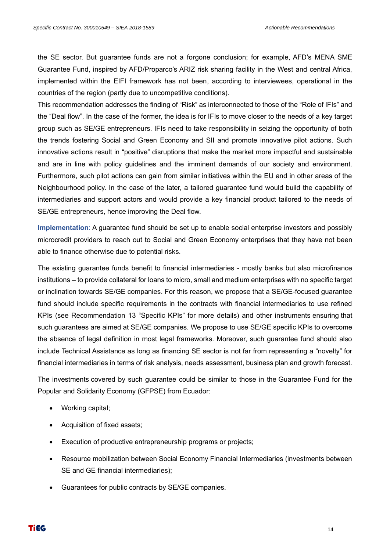the SE sector. But guarantee funds are not a forgone conclusion; for example, AFD's MENA SME Guarantee Fund, inspired by AFD/Proparco's ARIZ risk sharing facility in the West and central Africa, implemented within the EIFI framework has not been, according to interviewees, operational in the countries of the region (partly due to uncompetitive conditions).

This recommendation addresses the finding of "Risk" as interconnected to those of the "Role of IFIs" and the "Deal flow". In the case of the former, the idea is for IFIs to move closer to the needs of a key target group such as SE/GE entrepreneurs. IFIs need to take responsibility in seizing the opportunity of both the trends fostering Social and Green Economy and SII and promote innovative pilot actions. Such innovative actions result in "positive" disruptions that make the market more impactful and sustainable and are in line with policy guidelines and the imminent demands of our society and environment. Furthermore, such pilot actions can gain from similar initiatives within the EU and in other areas of the Neighbourhood policy. In the case of the later, a tailored guarantee fund would build the capability of intermediaries and support actors and would provide a key financial product tailored to the needs of SE/GE entrepreneurs, hence improving the Deal flow.

**Implementation**: A guarantee fund should be set up to enable social enterprise investors and possibly microcredit providers to reach out to Social and Green Economy enterprises that they have not been able to finance otherwise due to potential risks.

The existing guarantee funds benefit to financial intermediaries - mostly banks but also microfinance institutions – to provide collateral for loans to micro, small and medium enterprises with no specific target or inclination towards SE/GE companies. For this reason, we propose that a SE/GE-focused guarantee fund should include specific requirements in the contracts with financial intermediaries to use refined KPIs (see Recommendation 13 "Specific KPIs" for more details) and other instruments ensuring that such guarantees are aimed at SE/GE companies. We propose to use SE/GE specific KPIs to overcome the absence of legal definition in most legal frameworks. Moreover, such guarantee fund should also include Technical Assistance as long as financing SE sector is not far from representing a "novelty" for financial intermediaries in terms of risk analysis, needs assessment, business plan and growth forecast.

The investments covered by such guarantee could be similar to those in the Guarantee Fund for the Popular and Solidarity Economy (GFPSE) from Ecuador:

- Working capital;
- Acquisition of fixed assets;
- Execution of productive entrepreneurship programs or projects;
- Resource mobilization between Social Economy Financial Intermediaries (investments between SE and GE financial intermediaries);
- Guarantees for public contracts by SE/GE companies.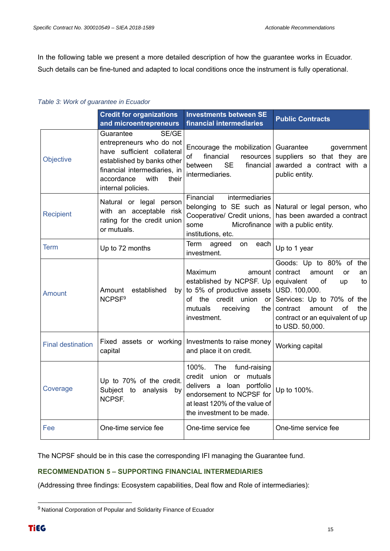In the following table we present a more detailed description of how the guarantee works in Ecuador. Such details can be fine-tuned and adapted to local conditions once the instrument is fully operational.

#### *Table 3: Work of guarantee in Ecuador*

|                          | <b>Credit for organizations</b><br>and microentrepreneurs                                                                                                                                       | <b>Investments between SE</b><br>financial intermediaries                                                                                                                          | <b>Public Contracts</b>                                                                                                                                                                                                                  |
|--------------------------|-------------------------------------------------------------------------------------------------------------------------------------------------------------------------------------------------|------------------------------------------------------------------------------------------------------------------------------------------------------------------------------------|------------------------------------------------------------------------------------------------------------------------------------------------------------------------------------------------------------------------------------------|
| Objective                | Guarantee<br>SE/GE<br>entrepreneurs who do not<br>have sufficient collateral<br>established by banks other<br>financial intermediaries, in<br>accordance<br>with<br>their<br>internal policies. | Encourage the mobilization<br>financial<br>of<br><b>resources</b><br><b>SE</b><br>financial<br>between<br>intermediaries.                                                          | Guarantee<br>government<br>suppliers so that they are<br>awarded a contract with a<br>public entity.                                                                                                                                     |
| <b>Recipient</b>         | Natural or legal person<br>with an acceptable risk<br>rating for the credit union<br>or mutuals.                                                                                                | Financial<br>intermediaries<br>belonging to SE such as<br>Cooperative/ Credit unions,<br>Microfinance<br>some<br>institutions, etc.                                                | Natural or legal person, who<br>has been awarded a contract<br>with a public entity.                                                                                                                                                     |
| Term                     | Up to 72 months                                                                                                                                                                                 | Term<br>agreed<br><b>on</b><br>each<br>investment.                                                                                                                                 | Up to 1 year                                                                                                                                                                                                                             |
| Amount                   | established<br>Amount<br>NCPSF <sup>9</sup>                                                                                                                                                     | Maximum<br>amount l<br>established by NCPSF. Up<br>by to 5% of productive assets<br>of the credit union<br><b>or</b><br>mutuals<br>receiving<br>the<br>investment.                 | Goods: Up to 80% of the<br>contract<br>amount<br><b>or</b><br>an<br>equivalent<br>of<br>up<br>to<br>USD. 100,000.<br>Services: Up to 70% of the<br>contract<br>amount<br>of<br>the<br>contract or an equivalent of up<br>to USD. 50,000. |
| <b>Final destination</b> | Fixed assets or working<br>capital                                                                                                                                                              | Investments to raise money<br>and place it on credit.                                                                                                                              | Working capital                                                                                                                                                                                                                          |
| Coverage                 | Up to 70% of the credit.<br>Subject to analysis by<br>NCPSF.                                                                                                                                    | 100%.<br>The<br>fund-raising<br>credit union<br>or mutuals<br>delivers a loan portfolio<br>endorsement to NCPSF for<br>at least 120% of the value of<br>the investment to be made. | Up to 100%.                                                                                                                                                                                                                              |
| Fee                      | One-time service fee                                                                                                                                                                            | One-time service fee                                                                                                                                                               | One-time service fee                                                                                                                                                                                                                     |

The NCPSF should be in this case the corresponding IFI managing the Guarantee fund.

#### **RECOMMENDATION 5 – SUPPORTING FINANCIAL INTERMEDIARIES**

(Addressing three findings: Ecosystem capabilities, Deal flow and Role of intermediaries):

<sup>&</sup>lt;sup>9</sup> National Corporation of Popular and Solidarity Finance of Ecuador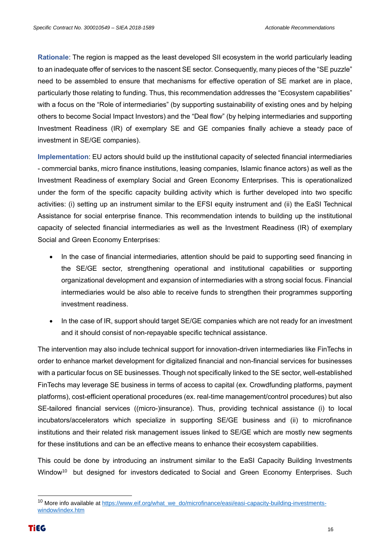**Rationale**: The region is mapped as the least developed SII ecosystem in the world particularly leading to an inadequate offer of services to the nascent SE sector. Consequently, many pieces of the "SE puzzle" need to be assembled to ensure that mechanisms for effective operation of SE market are in place, particularly those relating to funding. Thus, this recommendation addresses the "Ecosystem capabilities" with a focus on the "Role of intermediaries" (by supporting sustainability of existing ones and by helping others to become Social Impact Investors) and the "Deal flow" (by helping intermediaries and supporting Investment Readiness (IR) of exemplary SE and GE companies finally achieve a steady pace of investment in SE/GE companies).

**Implementation**: EU actors should build up the institutional capacity of selected financial intermediaries - commercial banks, micro finance institutions, leasing companies, Islamic finance actors) as well as the Investment Readiness of exemplary Social and Green Economy Enterprises. This is operationalized under the form of the specific capacity building activity which is further developed into two specific activities: (i) setting up an instrument similar to the EFSI equity instrument and (ii) the EaSI Technical Assistance for social enterprise finance. This recommendation intends to building up the institutional capacity of selected financial intermediaries as well as the Investment Readiness (IR) of exemplary Social and Green Economy Enterprises:

- In the case of financial intermediaries, attention should be paid to supporting seed financing in the SE/GE sector, strengthening operational and institutional capabilities or supporting organizational development and expansion of intermediaries with a strong social focus. Financial intermediaries would be also able to receive funds to strengthen their programmes supporting investment readiness.
- In the case of IR, support should target SE/GE companies which are not ready for an investment and it should consist of non-repayable specific technical assistance.

The intervention may also include technical support for innovation-driven intermediaries like FinTechs in order to enhance market development for digitalized financial and non-financial services for businesses with a particular focus on SE businesses. Though not specifically linked to the SE sector, well-established FinTechs may leverage SE business in terms of access to capital (ex. Crowdfunding platforms, payment platforms), cost-efficient operational procedures (ex. real-time management/control procedures) but also SE-tailored financial services ((micro-)insurance). Thus, providing technical assistance (i) to local incubators/accelerators which specialize in supporting SE/GE business and (ii) to microfinance institutions and their related risk management issues linked to SE/GE which are mostly new segments for these institutions and can be an effective means to enhance their ecosystem capabilities.

This could be done by introducing an instrument similar to the EaSI Capacity Building Investments Window<sup>10</sup> but designed for investors dedicated to Social and Green Economy Enterprises. Such

<sup>&</sup>lt;sup>10</sup> More info available at [https://www.eif.org/what\\_we\\_do/microfinance/easi/easi-capacity-building-investments](https://www.eif.org/what_we_do/microfinance/easi/easi-capacity-building-investments-window/index.htm)[window/index.htm](https://www.eif.org/what_we_do/microfinance/easi/easi-capacity-building-investments-window/index.htm)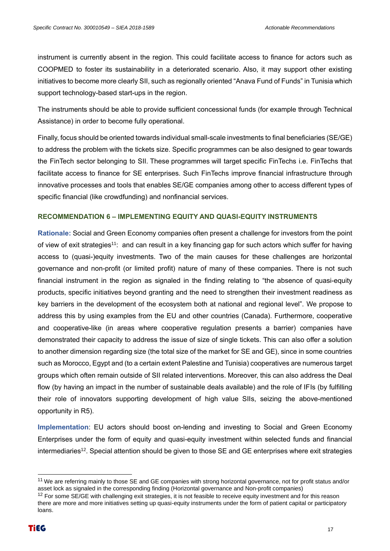instrument is currently absent in the region. This could facilitate access to finance for actors such as COOPMED to foster its sustainability in a deteriorated scenario. Also, it may support other existing initiatives to become more clearly SII, such as regionally oriented "Anava Fund of Funds" in Tunisia which support technology-based start-ups in the region.

The instruments should be able to provide sufficient concessional funds (for example through Technical Assistance) in order to become fully operational.

Finally, focus should be oriented towards individual small-scale investments to final beneficiaries (SE/GE) to address the problem with the tickets size. Specific programmes can be also designed to gear towards the FinTech sector belonging to SII. These programmes will target specific FinTechs i.e. FinTechs that facilitate access to finance for SE enterprises. Such FinTechs improve financial infrastructure through innovative processes and tools that enables SE/GE companies among other to access different types of specific financial (like crowdfunding) and nonfinancial services.

#### **RECOMMENDATION 6 – IMPLEMENTING EQUITY AND QUASI-EQUITY INSTRUMENTS**

**Rationale:** Social and Green Economy companies often present a challenge for investors from the point of view of exit strategies<sup>11</sup>: and can result in a key financing gap for such actors which suffer for having access to (quasi-)equity investments. Two of the main causes for these challenges are horizontal governance and non-profit (or limited profit) nature of many of these companies. There is not such financial instrument in the region as signaled in the finding relating to "the absence of quasi-equity products, specific initiatives beyond granting and the need to strengthen their investment readiness as key barriers in the development of the ecosystem both at national and regional level". We propose to address this by using examples from the EU and other countries (Canada). Furthermore, cooperative and cooperative-like (in areas where cooperative regulation presents a barrier) companies have demonstrated their capacity to address the issue of size of single tickets. This can also offer a solution to another dimension regarding size (the total size of the market for SE and GE), since in some countries such as Morocco, Egypt and (to a certain extent Palestine and Tunisia) cooperatives are numerous target groups which often remain outside of SII related interventions. Moreover, this can also address the Deal flow (by having an impact in the number of sustainable deals available) and the role of IFIs (by fulfilling their role of innovators supporting development of high value SIIs, seizing the above-mentioned opportunity in R5).

**Implementation**: EU actors should boost on-lending and investing to Social and Green Economy Enterprises under the form of equity and quasi-equity investment within selected funds and financial intermediaries<sup>12</sup>. Special attention should be given to those SE and GE enterprises where exit strategies

<sup>&</sup>lt;sup>11</sup> We are referring mainly to those SE and GE companies with strong horizontal governance, not for profit status and/or asset lock as signaled in the corresponding finding (Horizontal governance and Non-profit companies)

<sup>&</sup>lt;sup>12</sup> For some SE/GE with challenging exit strategies, it is not feasible to receive equity investment and for this reason there are more and more initiatives setting up quasi-equity instruments under the form of patient capital or participatory loans.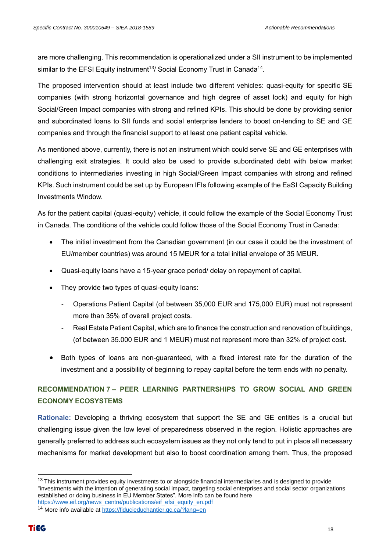are more challenging. This recommendation is operationalized under a SII instrument to be implemented similar to the EFSI Equity instrument<sup>13</sup>/ Social Economy Trust in Canada<sup>14</sup>.

The proposed intervention should at least include two different vehicles: quasi-equity for specific SE companies (with strong horizontal governance and high degree of asset lock) and equity for high Social/Green Impact companies with strong and refined KPIs. This should be done by providing senior and subordinated loans to SII funds and social enterprise lenders to boost on-lending to SE and GE companies and through the financial support to at least one patient capital vehicle.

As mentioned above, currently, there is not an instrument which could serve SE and GE enterprises with challenging exit strategies. It could also be used to provide subordinated debt with below market conditions to intermediaries investing in high Social/Green Impact companies with strong and refined KPIs. Such instrument could be set up by European IFIs following example of the EaSI Capacity Building Investments Window.

As for the patient capital (quasi-equity) vehicle, it could follow the example of the Social Economy Trust in Canada. The conditions of the vehicle could follow those of the Social Economy Trust in Canada:

- The initial investment from the Canadian government (in our case it could be the investment of EU/member countries) was around 15 MEUR for a total initial envelope of 35 MEUR.
- Quasi-equity loans have a 15-year grace period/ delay on repayment of capital.
- They provide two types of quasi-equity loans:
	- Operations Patient Capital (of between 35,000 EUR and 175,000 EUR) must not represent more than 35% of overall project costs.
	- Real Estate Patient Capital, which are to finance the construction and renovation of buildings, (of between 35.000 EUR and 1 MEUR) must not represent more than 32% of project cost.
- Both types of loans are non-guaranteed, with a fixed interest rate for the duration of the investment and a possibility of beginning to repay capital before the term ends with no penalty.

### **RECOMMENDATION 7 – PEER LEARNING PARTNERSHIPS TO GROW SOCIAL AND GREEN ECONOMY ECOSYSTEMS**

**Rationale:** Developing a thriving ecosystem that support the SE and GE entities is a crucial but challenging issue given the low level of preparedness observed in the region. Holistic approaches are generally preferred to address such ecosystem issues as they not only tend to put in place all necessary mechanisms for market development but also to boost coordination among them. Thus, the proposed

<sup>&</sup>lt;sup>13</sup> This instrument provides equity investments to or alongside financial intermediaries and is designed to provide "investments with the intention of generating social impact, targeting social enterprises and social sector organizations established or doing business in EU Member States". More info can be found here [https://www.eif.org/news\\_centre/publications/eif\\_efsi\\_equity\\_en.pdf](https://www.eif.org/news_centre/publications/eif_efsi_equity_en.pdf) 

<sup>14</sup> More info available at<https://fiducieduchantier.qc.ca/?lang=en>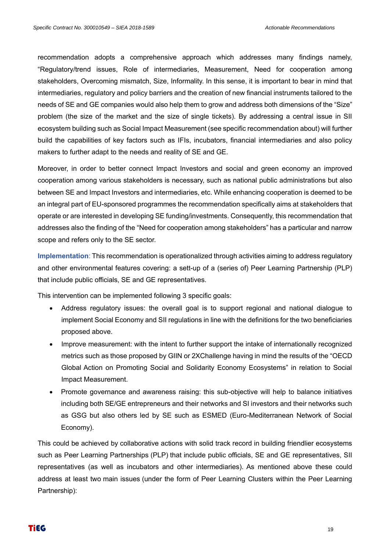recommendation adopts a comprehensive approach which addresses many findings namely, "Regulatory/trend issues, Role of intermediaries, Measurement, Need for cooperation among stakeholders, Overcoming mismatch, Size, Informality. In this sense, it is important to bear in mind that intermediaries, regulatory and policy barriers and the creation of new financial instruments tailored to the needs of SE and GE companies would also help them to grow and address both dimensions of the "Size" problem (the size of the market and the size of single tickets). By addressing a central issue in SII ecosystem building such as Social Impact Measurement (see specific recommendation about) will further build the capabilities of key factors such as IFIs, incubators, financial intermediaries and also policy makers to further adapt to the needs and reality of SE and GE.

Moreover, in order to better connect Impact Investors and social and green economy an improved cooperation among various stakeholders is necessary, such as national public administrations but also between SE and Impact Investors and intermediaries, etc. While enhancing cooperation is deemed to be an integral part of EU-sponsored programmes the recommendation specifically aims at stakeholders that operate or are interested in developing SE funding/investments. Consequently, this recommendation that addresses also the finding of the "Need for cooperation among stakeholders" has a particular and narrow scope and refers only to the SE sector.

**Implementation**: This recommendation is operationalized through activities aiming to address regulatory and other environmental features covering: a sett-up of a (series of) Peer Learning Partnership (PLP) that include public officials, SE and GE representatives.

This intervention can be implemented following 3 specific goals:

- Address regulatory issues: the overall goal is to support regional and national dialogue to implement Social Economy and SII regulations in line with the definitions for the two beneficiaries proposed above.
- Improve measurement: with the intent to further support the intake of internationally recognized metrics such as those proposed by GIIN or 2XChallenge having in mind the results of the "OECD Global Action on Promoting Social and Solidarity Economy Ecosystems" in relation to Social Impact Measurement.
- Promote governance and awareness raising: this sub-objective will help to balance initiatives including both SE/GE entrepreneurs and their networks and SI investors and their networks such as GSG but also others led by SE such as ESMED (Euro-Mediterranean Network of Social Economy).

This could be achieved by collaborative actions with solid track record in building friendlier ecosystems such as Peer Learning Partnerships (PLP) that include public officials, SE and GE representatives, SII representatives (as well as incubators and other intermediaries). As mentioned above these could address at least two main issues (under the form of Peer Learning Clusters within the Peer Learning Partnership):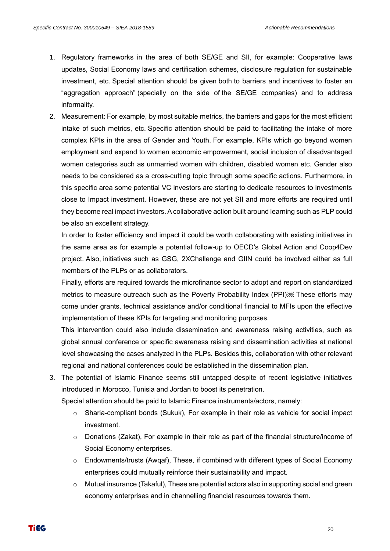- 1. Regulatory frameworks in the area of both SE/GE and SII, for example: Cooperative laws updates, Social Economy laws and certification schemes, disclosure regulation for sustainable investment, etc. Special attention should be given both to barriers and incentives to foster an "aggregation approach" (specially on the side of the SE/GE companies) and to address informality.
- 2. Measurement: For example, by most suitable metrics, the barriers and gaps for the most efficient intake of such metrics, etc. Specific attention should be paid to facilitating the intake of more complex KPIs in the area of Gender and Youth. For example, KPIs which go beyond women employment and expand to women economic empowerment, social inclusion of disadvantaged women categories such as unmarried women with children, disabled women etc. Gender also needs to be considered as a cross-cutting topic through some specific actions. Furthermore, in this specific area some potential VC investors are starting to dedicate resources to investments close to Impact investment. However, these are not yet SII and more efforts are required until they become real impact investors. A collaborative action built around learning such as PLP could be also an excellent strategy.

In order to foster efficiency and impact it could be worth collaborating with existing initiatives in the same area as for example a potential follow-up to OECD's Global Action and Coop4Dev project. Also, initiatives such as GSG, 2XChallenge and GIIN could be involved either as full members of the PLPs or as collaborators.

Finally, efforts are required towards the microfinance sector to adopt and report on standardized metrics to measure outreach such as the Poverty Probability Index (PPI) These efforts may come under grants, technical assistance and/or conditional financial to MFIs upon the effective implementation of these KPIs for targeting and monitoring purposes.

This intervention could also include dissemination and awareness raising activities, such as global annual conference or specific awareness raising and dissemination activities at national level showcasing the cases analyzed in the PLPs. Besides this, collaboration with other relevant regional and national conferences could be established in the dissemination plan.

3. The potential of Islamic Finance seems still untapped despite of recent legislative initiatives introduced in Morocco, Tunisia and Jordan to boost its penetration.

Special attention should be paid to Islamic Finance instruments/actors, namely:

- $\circ$  Sharia-compliant bonds (Sukuk), For example in their role as vehicle for social impact investment.
- $\circ$  Donations (Zakat), For example in their role as part of the financial structure/income of Social Economy enterprises.
- $\circ$  Endowments/trusts (Awqaf), These, if combined with different types of Social Economy enterprises could mutually reinforce their sustainability and impact.
- $\circ$  Mutual insurance (Takaful), These are potential actors also in supporting social and green economy enterprises and in channelling financial resources towards them.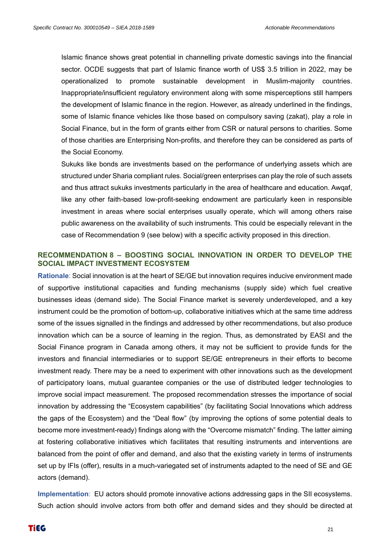Islamic finance shows great potential in channelling private domestic savings into the financial sector. OCDE suggests that part of Islamic finance worth of US\$ 3.5 trillion in 2022, may be operationalized to promote sustainable development in Muslim-majority countries. Inappropriate/insufficient regulatory environment along with some misperceptions still hampers the development of Islamic finance in the region. However, as already underlined in the findings, some of Islamic finance vehicles like those based on compulsory saving (zakat), play a role in Social Finance, but in the form of grants either from CSR or natural persons to charities. Some of those charities are Enterprising Non-profits, and therefore they can be considered as parts of the Social Economy.

Sukuks like bonds are investments based on the performance of underlying assets which are structured under Sharia compliant rules. Social/green enterprises can play the role of such assets and thus attract sukuks investments particularly in the area of healthcare and education. Awqaf, like any other faith-based low-profit-seeking endowment are particularly keen in responsible investment in areas where social enterprises usually operate, which will among others raise public awareness on the availability of such instruments. This could be especially relevant in the case of Recommendation 9 (see below) with a specific activity proposed in this direction.

#### **RECOMMENDATION 8 – BOOSTING SOCIAL INNOVATION IN ORDER TO DEVELOP THE SOCIAL IMPACT INVESTMENT ECOSYSTEM**

**Rationale**: Social innovation is at the heart of SE/GE but innovation requires inducive environment made of supportive institutional capacities and funding mechanisms (supply side) which fuel creative businesses ideas (demand side). The Social Finance market is severely underdeveloped, and a key instrument could be the promotion of bottom-up, collaborative initiatives which at the same time address some of the issues signalled in the findings and addressed by other recommendations, but also produce innovation which can be a source of learning in the region. Thus, as demonstrated by EASI and the Social Finance program in Canada among others, it may not be sufficient to provide funds for the investors and financial intermediaries or to support SE/GE entrepreneurs in their efforts to become investment ready. There may be a need to experiment with other innovations such as the development of participatory loans, mutual guarantee companies or the use of distributed ledger technologies to improve social impact measurement. The proposed recommendation stresses the importance of social innovation by addressing the "Ecosystem capabilities" (by facilitating Social Innovations which address the gaps of the Ecosystem) and the "Deal flow" (by improving the options of some potential deals to become more investment-ready) findings along with the "Overcome mismatch" finding. The latter aiming at fostering collaborative initiatives which facilitates that resulting instruments and interventions are balanced from the point of offer and demand, and also that the existing variety in terms of instruments set up by IFIs (offer), results in a much-variegated set of instruments adapted to the need of SE and GE actors (demand).

**Implementation**: EU actors should promote innovative actions addressing gaps in the SII ecosystems. Such action should involve actors from both offer and demand sides and they should be directed at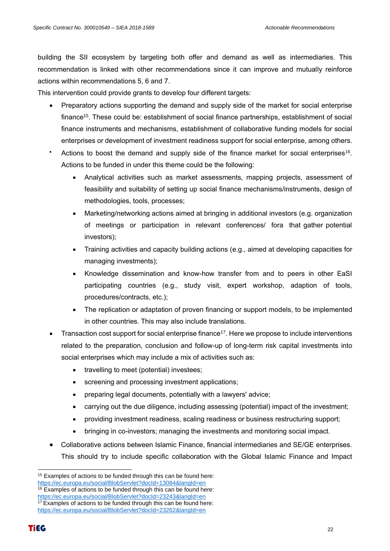building the SII ecosystem by targeting both offer and demand as well as intermediaries. This recommendation is linked with other recommendations since it can improve and mutually reinforce actions within recommendations 5, 6 and 7.

This intervention could provide grants to develop four different targets:

- Preparatory actions supporting the demand and supply side of the market for social enterprise finance<sup>15</sup>. These could be: establishment of social finance partnerships, establishment of social finance instruments and mechanisms, establishment of collaborative funding models for social enterprises or development of investment readiness support for social enterprise, among others.
- Actions to boost the demand and supply side of the finance market for social enterprises<sup>16</sup>. Actions to be funded in under this theme could be the following:
	- Analytical activities such as market assessments, mapping projects, assessment of feasibility and suitability of setting up social finance mechanisms/instruments, design of methodologies, tools, processes;
	- Marketing/networking actions aimed at bringing in additional investors (e.g. organization of meetings or participation in relevant conferences/ fora that gather potential investors);
	- Training activities and capacity building actions (e.g., aimed at developing capacities for managing investments);
	- Knowledge dissemination and know-how transfer from and to peers in other EaSI participating countries (e.g., study visit, expert workshop, adaption of tools, procedures/contracts, etc.);
	- The replication or adaptation of proven financing or support models, to be implemented in other countries. This may also include translations.
- Transaction cost support for social enterprise finance<sup>17</sup>. Here we propose to include interventions related to the preparation, conclusion and follow-up of long-term risk capital investments into social enterprises which may include a mix of activities such as:
	- travelling to meet (potential) investees;
	- screening and processing investment applications;
	- preparing legal documents, potentially with a lawyers' advice;
	- carrying out the due diligence, including assessing (potential) impact of the investment;
	- providing investment readiness, scaling readiness or business restructuring support;
	- bringing in co-investors; managing the investments and monitoring social impact.
- Collaborative actions between Islamic Finance, financial intermediaries and SE/GE enterprises. This should try to include specific collaboration with the Global Islamic Finance and Impact

<sup>&</sup>lt;sup>15</sup> Examples of actions to be funded through this can be found here: <https://ec.europa.eu/social/BlobServlet?docId=13084&langId=en>

<sup>&</sup>lt;sup>16</sup> Examples of actions to be funded through this can be found here:

<https://ec.europa.eu/social/BlobServlet?docId=23243&langId=en>  $17$  Examples of actions to be funded through this can be found here:

<https://ec.europa.eu/social/BlobServlet?docId=23262&langId=en>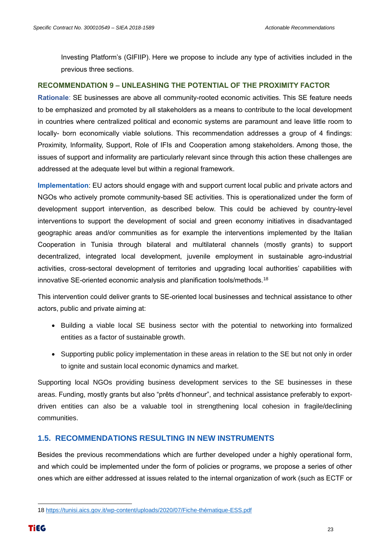Investing Platform's (GIFIIP). Here we propose to include any type of activities included in the previous three sections.

#### **RECOMMENDATION 9 – UNLEASHING THE POTENTIAL OF THE PROXIMITY FACTOR**

**Rationale**: SE businesses are above all community-rooted economic activities. This SE feature needs to be emphasized and promoted by all stakeholders as a means to contribute to the local development in countries where centralized political and economic systems are paramount and leave little room to locally- born economically viable solutions. This recommendation addresses a group of 4 findings: Proximity, Informality, Support, Role of IFIs and Cooperation among stakeholders. Among those, the issues of support and informality are particularly relevant since through this action these challenges are addressed at the adequate level but within a regional framework.

**Implementation**: EU actors should engage with and support current local public and private actors and NGOs who actively promote community-based SE activities. This is operationalized under the form of development support intervention, as described below. This could be achieved by country-level interventions to support the development of social and green economy initiatives in disadvantaged geographic areas and/or communities as for example the interventions implemented by the Italian Cooperation in Tunisia through bilateral and multilateral channels (mostly grants) to support decentralized, integrated local development, juvenile employment in sustainable agro-industrial activities, cross-sectoral development of territories and upgrading local authorities' capabilities with innovative SE-oriented economic analysis and planification tools/methods.<sup>18</sup>

This intervention could deliver grants to SE-oriented local businesses and technical assistance to other actors, public and private aiming at:

- Building a viable local SE business sector with the potential to networking into formalized entities as a factor of sustainable growth.
- Supporting public policy implementation in these areas in relation to the SE but not only in order to ignite and sustain local economic dynamics and market.

Supporting local NGOs providing business development services to the SE businesses in these areas. Funding, mostly grants but also "prêts d'honneur", and technical assistance preferably to exportdriven entities can also be a valuable tool in strengthening local cohesion in fragile/declining communities.

#### <span id="page-22-0"></span>**1.5. RECOMMENDATIONS RESULTING IN NEW INSTRUMENTS**

Besides the previous recommendations which are further developed under a highly operational form, and which could be implemented under the form of policies or programs, we propose a series of other ones which are either addressed at issues related to the internal organization of work (such as ECTF or

<sup>18</sup> [https://tunisi.aics.gov.it/wp-content/uploads/2020/07/Fiche-thématique-ESS.pdf](https://tunisi.aics.gov.it/wp-content/uploads/2020/07/Fiche-thématique-ESS.pdf)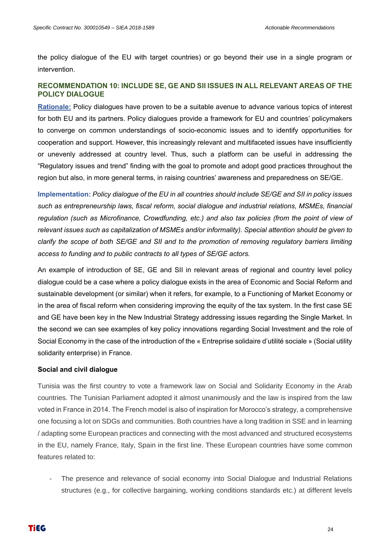the policy dialogue of the EU with target countries) or go beyond their use in a single program or intervention.

#### **RECOMMENDATION 10: INCLUDE SE, GE AND SII ISSUES IN ALL RELEVANT AREAS OF THE POLICY DIALOGUE**

**Rationale:** Policy dialogues have proven to be a suitable avenue to advance various topics of interest for both EU and its partners. Policy dialogues provide a framework for EU and countries' policymakers to converge on common understandings of socio-economic issues and to identify opportunities for cooperation and support. However, this increasingly relevant and multifaceted issues have insufficiently or unevenly addressed at country level. Thus, such a platform can be useful in addressing the "Regulatory issues and trend" finding with the goal to promote and adopt good practices throughout the region but also, in more general terms, in raising countries' awareness and preparedness on SE/GE.

**Implementation:** *Policy dialogue of the EU in all countries should include SE/GE and SII in policy issues such as entrepreneurship laws, fiscal reform, social dialogue and industrial relations, MSMEs, financial regulation (such as Microfinance, Crowdfunding, etc.) and also tax policies (from the point of view of relevant issues such as capitalization of MSMEs and/or informality). Special attention should be given to clarify the scope of both SE/GE and SII and to the promotion of removing regulatory barriers limiting access to funding and to public contracts to all types of SE/GE actors.* 

An example of introduction of SE, GE and SII in relevant areas of regional and country level policy dialogue could be a case where a policy dialogue exists in the area of Economic and Social Reform and sustainable development (or similar) when it refers, for example, to a Functioning of Market Economy or in the area of fiscal reform when considering improving the equity of the tax system. In the first case SE and GE have been key in the New Industrial Strategy addressing issues regarding the Single Market. In the second we can see examples of key policy innovations regarding Social Investment and the role of Social Economy in the case of the introduction of the « Entreprise solidaire d'utilité sociale » (Social utility solidarity enterprise) in France.

#### **Social and civil dialogue**

Tunisia was the first country to vote a framework law on Social and Solidarity Economy in the Arab countries. The Tunisian Parliament adopted it almost unanimously and the law is inspired from the law voted in France in 2014. The French model is also of inspiration for Morocco's strategy, a comprehensive one focusing a lot on SDGs and communities. Both countries have a long tradition in SSE and in learning / adapting some European practices and connecting with the most advanced and structured ecosystems in the EU, namely France, Italy, Spain in the first line. These European countries have some common features related to:

The presence and relevance of social economy into Social Dialogue and Industrial Relations structures (e.g., for collective bargaining, working conditions standards etc.) at different levels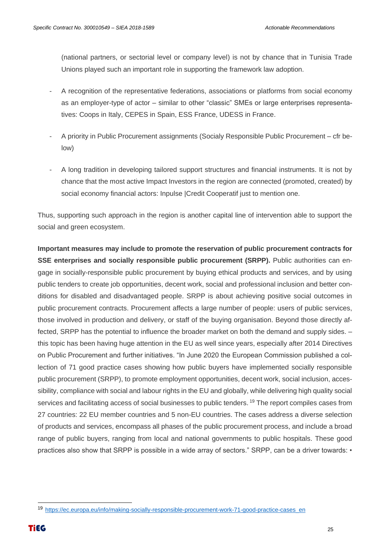(national partners, or sectorial level or company level) is not by chance that in Tunisia Trade Unions played such an important role in supporting the framework law adoption.

- A recognition of the representative federations, associations or platforms from social economy as an employer-type of actor – similar to other "classic" SMEs or large enterprises representatives: Coops in Italy, CEPES in Spain, ESS France, UDESS in France.
- A priority in Public Procurement assignments (Socialy Responsible Public Procurement cfr below)
- A long tradition in developing tailored support structures and financial instruments. It is not by chance that the most active Impact Investors in the region are connected (promoted, created) by social economy financial actors: Inpulse |Credit Cooperatif just to mention one.

Thus, supporting such approach in the region is another capital line of intervention able to support the social and green ecosystem.

**Important measures may include to promote the reservation of public procurement contracts for SSE enterprises and socially responsible public procurement (SRPP).** Public authorities can engage in socially-responsible public procurement by buying ethical products and services, and by using public tenders to create job opportunities, decent work, social and professional inclusion and better conditions for disabled and disadvantaged people. SRPP is about achieving positive social outcomes in public procurement contracts. Procurement affects a large number of people: users of public services, those involved in production and delivery, or staff of the buying organisation. Beyond those directly affected, SRPP has the potential to influence the broader market on both the demand and supply sides. – this topic has been having huge attention in the EU as well since years, especially after 2014 Directives on Public Procurement and further initiatives. "In June 2020 the European Commission published a collection of 71 good practice cases showing how public buyers have implemented socially responsible public procurement (SRPP), to promote employment opportunities, decent work, social inclusion, accessibility, compliance with social and labour rights in the EU and globally, while delivering high quality social services and facilitating access of social businesses to public tenders. <sup>19</sup> The report compiles cases from 27 countries: 22 EU member countries and 5 non-EU countries. The cases address a diverse selection of products and services, encompass all phases of the public procurement process, and include a broad range of public buyers, ranging from local and national governments to public hospitals. These good practices also show that SRPP is possible in a wide array of sectors." SRPP, can be a driver towards: •

<sup>19</sup> [https://ec.europa.eu/info/making-socially-responsible-procurement-work-71-good-practice-cases\\_en](https://ec.europa.eu/info/making-socially-responsible-procurement-work-71-good-practice-cases_en)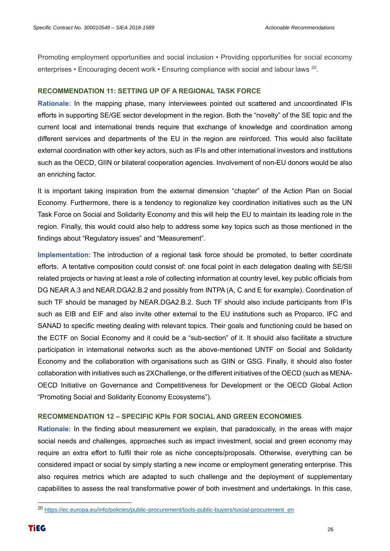Promoting employment opportunities and social inclusion • Providing opportunities for social economy enterprises • Encouraging decent work • Ensuring compliance with social and labour laws <sup>20</sup>.

#### **RECOMMENDATION 11: SETTING UP OF A REGIONAL TASK FORCE**

**Rationale:** In the mapping phase, many interviewees pointed out scattered and uncoordinated IFIs efforts in supporting SE/GE sector development in the region. Both the "novelty" of the SE topic and the current local and international trends require that exchange of knowledge and coordination among different services and departments of the EU in the region are reinforced. This would also facilitate external coordination with other key actors, such as IFIs and other international investors and institutions such as the OECD, GIIN or bilateral cooperation agencies. Involvement of non-EU donors would be also an enriching factor.

It is important taking inspiration from the external dimension "chapter" of the Action Plan on Social Economy. Furthermore, there is a tendency to regionalize key coordination initiatives such as the UN Task Force on Social and Solidarity Economy and this will help the EU to maintain its leading role in the region. Finally, this would could also help to address some key topics such as those mentioned in the findings about "Regulatory issues" and "Measurement".

**Implementation:** The introduction of a regional task force should be promoted, to better coordinate efforts. A tentative composition could consist of: one focal point in each delegation dealing with SE/SII related projects or having at least a role of collecting information at country level, key public officials from DG NEAR A.3 and NEAR.DGA2.B.2 and possibly from INTPA (A, C and E for example). Coordination of such TF should be managed by NEAR.DGA2.B.2. Such TF should also include participants from IFIs such as EIB and EIF and also invite other external to the EU institutions such as Proparco, IFC and SANAD to specific meeting dealing with relevant topics. Their goals and functioning could be based on the ECTF on Social Economy and it could be a "sub-section" of it. It should also facilitate a structure participation in international networks such as the above-mentioned UNTF on Social and Solidarity Economy and the collaboration with organisations such as GIIN or GSG. Finally, it should also foster collaboration with initiatives such as 2XChallenge, or the different initiatives of the OECD (such as MENA-OECD Initiative on Governance and Competitiveness for Development or the OECD Global Action "Promoting Social and Solidarity Economy Ecosystems").

#### **RECOMMENDATION 12 – SPECIFIC KPIs FOR SOCIAL AND GREEN ECONOMIES**

**Rationale:** In the finding about measurement we explain, that paradoxically, in the areas with major social needs and challenges, approaches such as impact investment, social and green economy may require an extra effort to fulfil their role as niche concepts/proposals. Otherwise, everything can be considered impact or social by simply starting a new income or employment generating enterprise. This also requires metrics which are adapted to such challenge and the deployment of supplementary capabilities to assess the real transformative power of both investment and undertakings. In this case,

<sup>20</sup> [https://ec.europa.eu/info/policies/public-procurement/tools-public-buyers/social-procurement\\_en](https://ec.europa.eu/info/policies/public-procurement/tools-public-buyers/social-procurement_en)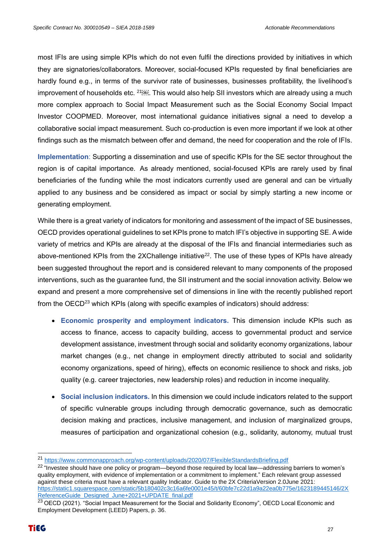most IFIs are using simple KPIs which do not even fulfil the directions provided by initiatives in which they are signatories/collaborators. Moreover, social-focused KPIs requested by final beneficiaries are hardly found e.g., in terms of the survivor rate of businesses, businesses profitability, the livelihood's improvement of households etc. <sup>21</sup>. This would also help SII investors which are already using a much more complex approach to Social Impact Measurement such as the Social Economy Social Impact Investor COOPMED. Moreover, most international guidance initiatives signal a need to develop a collaborative social impact measurement. Such co-production is even more important if we look at other findings such as the mismatch between offer and demand, the need for cooperation and the role of IFIs.

**Implementation**: Supporting a dissemination and use of specific KPIs for the SE sector throughout the region is of capital importance. As already mentioned, social-focused KPIs are rarely used by final beneficiaries of the funding while the most indicators currently used are general and can be virtually applied to any business and be considered as impact or social by simply starting a new income or generating employment.

While there is a great variety of indicators for monitoring and assessment of the impact of SE businesses, OECD provides operational guidelines to set KPIs prone to match IFI's objective in supporting SE. A wide variety of metrics and KPIs are already at the disposal of the IFIs and financial intermediaries such as above-mentioned KPIs from the 2XChallenge initiative<sup>22</sup>. The use of these types of KPIs have already been suggested throughout the report and is considered relevant to many components of the proposed interventions, such as the guarantee fund, the SII instrument and the social innovation activity. Below we expand and present a more comprehensive set of dimensions in line with the recently published report from the OECD<sup>23</sup> which KPIs (along with specific examples of indicators) should address:

- **Economic prosperity and employment indicators.** This dimension include KPIs such as access to finance, access to capacity building, access to governmental product and service development assistance, investment through social and solidarity economy organizations, labour market changes (e.g., net change in employment directly attributed to social and solidarity economy organizations, speed of hiring), effects on economic resilience to shock and risks, job quality (e.g. career trajectories, new leadership roles) and reduction in income inequality.
- **Social inclusion indicators.** In this dimension we could include indicators related to the support of specific vulnerable groups including through democratic governance, such as democratic decision making and practices, inclusive management, and inclusion of marginalized groups, measures of participation and organizational cohesion (e.g., solidarity, autonomy, mutual trust

<sup>21</sup> <https://www.commonapproach.org/wp-content/uploads/2020/07/FlexibleStandardsBriefing.pdf>

<sup>&</sup>lt;sup>22</sup> "Investee should have one policy or program—beyond those required by local law—addressing barriers to women's quality employment, with evidence of implementation or a commitment to implement." Each relevant group assessed against these criteria must have a relevant quality Indicator. Guide to the 2X CriteriaVersion 2.0June 2021: [https://static1.squarespace.com/static/5b180402c3c16a6fe0001e45/t/60bfe7c22d1a9a22ea0b775e/1623189445146/2X](https://static1.squarespace.com/static/5b180402c3c16a6fe0001e45/t/60bfe7c22d1a9a22ea0b775e/1623189445146/2XReferenceGuide_Designed_June+2021+UPDATE_final.pdf) [ReferenceGuide\\_Designed\\_June+2021+UPDATE\\_final.pdf](https://static1.squarespace.com/static/5b180402c3c16a6fe0001e45/t/60bfe7c22d1a9a22ea0b775e/1623189445146/2XReferenceGuide_Designed_June+2021+UPDATE_final.pdf)

<sup>&</sup>lt;sup>23</sup> OECD (2021). "Social Impact Measurement for the Social and Solidarity Economy", OECD Local Economic and Employment Development (LEED) Papers, p. 36.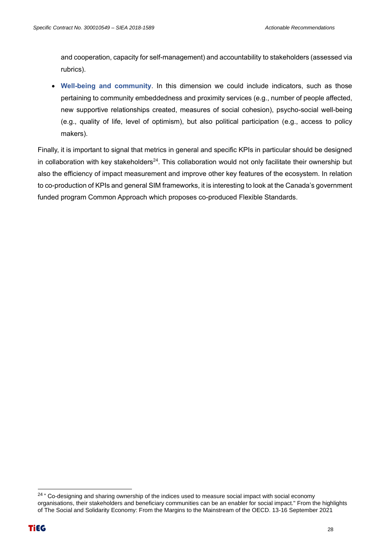and cooperation, capacity for self-management) and accountability to stakeholders (assessed via rubrics).

• **Well-being and community**. In this dimension we could include indicators, such as those pertaining to community embeddedness and proximity services (e.g., number of people affected, new supportive relationships created, measures of social cohesion), psycho-social well-being (e.g., quality of life, level of optimism), but also political participation (e.g., access to policy makers).

Finally, it is important to signal that metrics in general and specific KPIs in particular should be designed in collaboration with key stakeholders<sup>24</sup>. This collaboration would not only facilitate their ownership but also the efficiency of impact measurement and improve other key features of the ecosystem. In relation to co-production of KPIs and general SIM frameworks, it is interesting to look at the Canada's government funded program Common Approach which proposes co-produced Flexible Standards.

<sup>&</sup>lt;sup>24</sup> " Co-designing and sharing ownership of the indices used to measure social impact with social economy organisations, their stakeholders and beneficiary communities can be an enabler for social impact." From the highlights of The Social and Solidarity Economy: From the Margins to the Mainstream of the OECD. 13-16 September 2021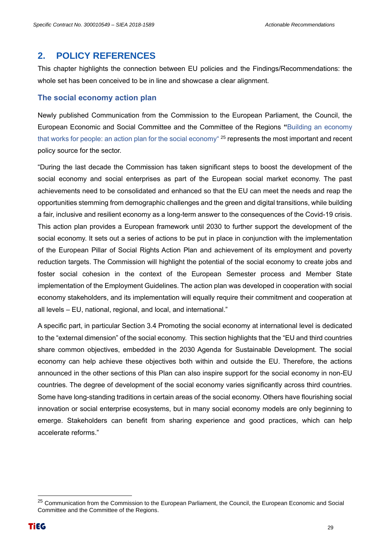#### <span id="page-28-0"></span>**2. POLICY REFERENCES**

This chapter highlights the connection between EU policies and the Findings/Recommendations: the whole set has been conceived to be in line and showcase a clear alignment.

#### **The social economy action plan**

Newly published Communication from the Commission to the European Parliament, the Council, the European Economic and Social Committee and the Committee of the Regions **"**Building an economy that works for people: an action plan for the social economy" <sup>25</sup> represents the most important and recent policy source for the sector.

"During the last decade the Commission has taken significant steps to boost the development of the social economy and social enterprises as part of the European social market economy. The past achievements need to be consolidated and enhanced so that the EU can meet the needs and reap the opportunities stemming from demographic challenges and the green and digital transitions, while building a fair, inclusive and resilient economy as a long-term answer to the consequences of the Covid-19 crisis. This action plan provides a European framework until 2030 to further support the development of the social economy. It sets out a series of actions to be put in place in conjunction with the implementation of the European Pillar of Social Rights Action Plan and achievement of its employment and poverty reduction targets. The Commission will highlight the potential of the social economy to create jobs and foster social cohesion in the context of the European Semester process and Member State implementation of the Employment Guidelines. The action plan was developed in cooperation with social economy stakeholders, and its implementation will equally require their commitment and cooperation at all levels – EU, national, regional, and local, and international."

A specific part, in particular Section 3.4 Promoting the social economy at international level is dedicated to the "external dimension" of the social economy. This section highlights that the "EU and third countries share common objectives, embedded in the 2030 Agenda for Sustainable Development. The social economy can help achieve these objectives both within and outside the EU. Therefore, the actions announced in the other sections of this Plan can also inspire support for the social economy in non-EU countries. The degree of development of the social economy varies significantly across third countries. Some have long-standing traditions in certain areas of the social economy. Others have flourishing social innovation or social enterprise ecosystems, but in many social economy models are only beginning to emerge. Stakeholders can benefit from sharing experience and good practices, which can help accelerate reforms."

<sup>&</sup>lt;sup>25</sup> Communication from the Commission to the European Parliament, the Council, the European Economic and Social Committee and the Committee of the Regions.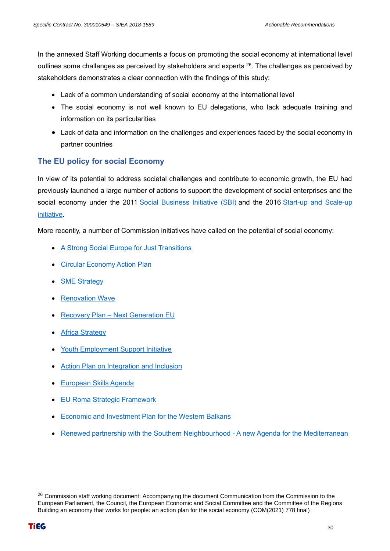In the annexed Staff Working documents a focus on promoting the social economy at international level outlines some challenges as perceived by stakeholders and experts  $^{26}$ . The challenges as perceived by stakeholders demonstrates a clear connection with the findings of this study:

- Lack of a common understanding of social economy at the international level
- The social economy is not well known to EU delegations, who lack adequate training and information on its particularities
- Lack of data and information on the challenges and experiences faced by the social economy in partner countries

#### **The EU policy for social Economy**

In view of its potential to address societal challenges and contribute to economic growth, the EU had previously launched a large number of actions to support the development of social enterprises and the social economy under the 2011 [Social Business Initiative \(SBI\)](https://eur-lex.europa.eu/legal-content/EN/TXT/PDF/?uri=CELEX:52011DC0682&from=EN) and the 2016 Start-up and Scale-up [initiative.](https://eur-lex.europa.eu/legal-content/EN/TXT/PDF/?uri=CELEX:52016DC0733&from=EN)

More recently, a number of Commission initiatives have called on the potential of social economy:

- [A Strong Social Europe for Just Transitions](https://eur-lex.europa.eu/resource.html?uri=cellar:e8c76c67-37a0-11ea-ba6e-01aa75ed71a1.0003.02/DOC_1&format=PDF)
- [Circular Economy Action Plan](https://eur-lex.europa.eu/legal-content/EN/TXT/?qid=1583933814386&uri=COM:2020:98:FIN)
- [SME Strategy](https://ec.europa.eu/info/sites/info/files/communication-sme-strategy-march-2020_en.pdf)
- [Renovation Wave](https://eur-lex.europa.eu/resource.html?uri=cellar:0638aa1d-0f02-11eb-bc07-01aa75ed71a1.0003.02/DOC_1&format=PDF)
- Recovery Plan [Next Generation EU](https://eur-lex.europa.eu/legal-content/EN/TXT/PDF/?uri=CELEX:52020DC0456&from=EN)
- **[Africa Strategy](https://eur-lex.europa.eu/legal-content/EN/TXT/PDF/?uri=CELEX:52020JC0004&from=FR)**
- [Youth Employment Support Initiative](https://eur-lex.europa.eu/legal-content/EN/TXT/PDF/?uri=CELEX:52020DC0276&from=EN)
- [Action Plan on Integration and Inclusion](https://ec.europa.eu/home-affairs/sites/homeaffairs/files/pdf/action_plan_on_integration_and_inclusion_2021-2027.pdf)
- [European Skills Agenda](https://ec.europa.eu/social/BlobServlet?docId=22832&langId=en)
- [EU Roma Strategic Framework](https://ec.europa.eu/info/sites/info/files/union_of_equality_eu_roma_strategic_framework_for_equality_inclusion_and_participation_en.pdf)
- [Economic and Investment Plan for the Western Balkans](https://ec.europa.eu/neighbourhood-enlargement/sites/near/files/communication_on_wb_economic_and_investment_plan_october_2020_en.pdf)
- [Renewed partnership with the Southern Neighbourhood -](https://eeas.europa.eu/sites/eeas/files/joint_communication_renewed_partnership_southern_neighbourhood.pdf) A new Agenda for the Mediterranean

<sup>&</sup>lt;sup>26</sup> Commission staff working document: Accompanying the document Communication from the Commission to the European Parliament, the Council, the European Economic and Social Committee and the Committee of the Regions Building an economy that works for people: an action plan for the social economy (COM(2021) 778 final)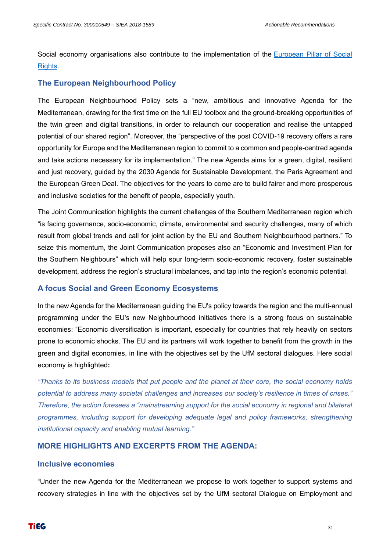Social economy organisations also contribute to the implementation of the [European Pillar of Social](https://ec.europa.eu/info/european-pillar-social-rights/european-pillar-social-rights-20-principles_en)  [Rights.](https://ec.europa.eu/info/european-pillar-social-rights/european-pillar-social-rights-20-principles_en)

#### **The European Neighbourhood Policy**

The European Neighbourhood Policy sets a "new, ambitious and innovative Agenda for the Mediterranean, drawing for the first time on the full EU toolbox and the ground-breaking opportunities of the twin green and digital transitions, in order to relaunch our cooperation and realise the untapped potential of our shared region". Moreover, the "perspective of the post COVID-19 recovery offers a rare opportunity for Europe and the Mediterranean region to commit to a common and people-centred agenda and take actions necessary for its implementation." The new Agenda aims for a green, digital, resilient and just recovery, guided by the 2030 Agenda for Sustainable Development, the Paris Agreement and the European Green Deal. The objectives for the years to come are to build fairer and more prosperous and inclusive societies for the benefit of people, especially youth.

The Joint Communication highlights the current challenges of the Southern Mediterranean region which "is facing governance, socio-economic, climate, environmental and security challenges, many of which result from global trends and call for joint action by the EU and Southern Neighbourhood partners." To seize this momentum, the Joint Communication proposes also an "Economic and Investment Plan for the Southern Neighbours" which will help spur long-term socio-economic recovery, foster sustainable development, address the region's structural imbalances, and tap into the region's economic potential.

#### **A focus Social and Green Economy Ecosystems**

In the new Agenda for the Mediterranean guiding the EU's policy towards the region and the multi-annual programming under the EU's new Neighbourhood initiatives there is a strong focus on sustainable economies: "Economic diversification is important, especially for countries that rely heavily on sectors prone to economic shocks. The EU and its partners will work together to benefit from the growth in the green and digital economies, in line with the objectives set by the UfM sectoral dialogues. Here social economy is highlighted**:**

*"Thanks to its business models that put people and the planet at their core, the social economy holds potential to address many societal challenges and increases our society's resilience in times of crises." Therefore, the action foresees a "mainstreaming support for the social economy in regional and bilateral programmes, including support for developing adequate legal and policy frameworks, strengthening institutional capacity and enabling mutual learning."*

#### **MORE HIGHLIGHTS AND EXCERPTS FROM THE AGENDA:**

#### **Inclusive economies**

"Under the new Agenda for the Mediterranean we propose to work together to support systems and recovery strategies in line with the objectives set by the UfM sectoral Dialogue on Employment and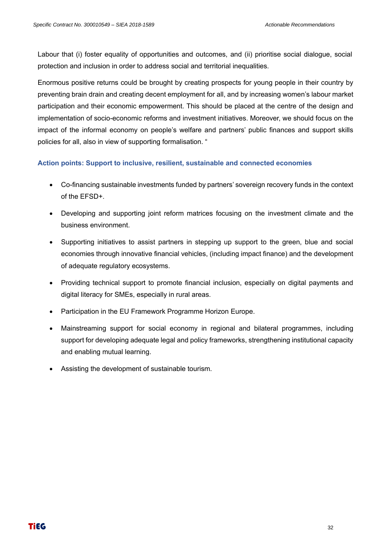Labour that (i) foster equality of opportunities and outcomes, and (ii) prioritise social dialogue, social protection and inclusion in order to address social and territorial inequalities.

Enormous positive returns could be brought by creating prospects for young people in their country by preventing brain drain and creating decent employment for all, and by increasing women's labour market participation and their economic empowerment. This should be placed at the centre of the design and implementation of socio-economic reforms and investment initiatives. Moreover, we should focus on the impact of the informal economy on people's welfare and partners' public finances and support skills policies for all, also in view of supporting formalisation. "

#### **Action points: Support to inclusive, resilient, sustainable and connected economies**

- Co-financing sustainable investments funded by partners' sovereign recovery funds in the context of the EFSD+.
- Developing and supporting joint reform matrices focusing on the investment climate and the business environment.
- Supporting initiatives to assist partners in stepping up support to the green, blue and social economies through innovative financial vehicles, (including impact finance) and the development of adequate regulatory ecosystems.
- Providing technical support to promote financial inclusion, especially on digital payments and digital literacy for SMEs, especially in rural areas.
- Participation in the EU Framework Programme Horizon Europe.
- Mainstreaming support for social economy in regional and bilateral programmes, including support for developing adequate legal and policy frameworks, strengthening institutional capacity and enabling mutual learning.
- Assisting the development of sustainable tourism.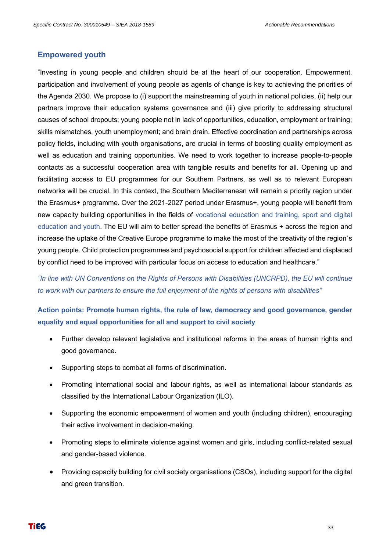#### **Empowered youth**

"Investing in young people and children should be at the heart of our cooperation. Empowerment, participation and involvement of young people as agents of change is key to achieving the priorities of the Agenda 2030. We propose to (i) support the mainstreaming of youth in national policies, (ii) help our partners improve their education systems governance and (iii) give priority to addressing structural causes of school dropouts; young people not in lack of opportunities, education, employment or training; skills mismatches, youth unemployment; and brain drain. Effective coordination and partnerships across policy fields, including with youth organisations, are crucial in terms of boosting quality employment as well as education and training opportunities. We need to work together to increase people-to-people contacts as a successful cooperation area with tangible results and benefits for all. Opening up and facilitating access to EU programmes for our Southern Partners, as well as to relevant European networks will be crucial. In this context, the Southern Mediterranean will remain a priority region under the Erasmus+ programme. Over the 2021-2027 period under Erasmus+, young people will benefit from new capacity building opportunities in the fields of vocational education and training, sport and digital education and youth. The EU will aim to better spread the benefits of Erasmus + across the region and increase the uptake of the Creative Europe programme to make the most of the creativity of the region`s young people. Child protection programmes and psychosocial support for children affected and displaced by conflict need to be improved with particular focus on access to education and healthcare."

*"In line with UN Conventions on the Rights of Persons with Disabilities (UNCRPD), the EU will continue to work with our partners to ensure the full enjoyment of the rights of persons with disabilities"*

**Action points: Promote human rights, the rule of law, democracy and good governance, gender equality and equal opportunities for all and support to civil society**

- Further develop relevant legislative and institutional reforms in the areas of human rights and good governance.
- Supporting steps to combat all forms of discrimination.
- Promoting international social and labour rights, as well as international labour standards as classified by the International Labour Organization (ILO).
- Supporting the economic empowerment of women and youth (including children), encouraging their active involvement in decision-making.
- Promoting steps to eliminate violence against women and girls, including conflict-related sexual and gender-based violence.
- Providing capacity building for civil society organisations (CSOs), including support for the digital and green transition.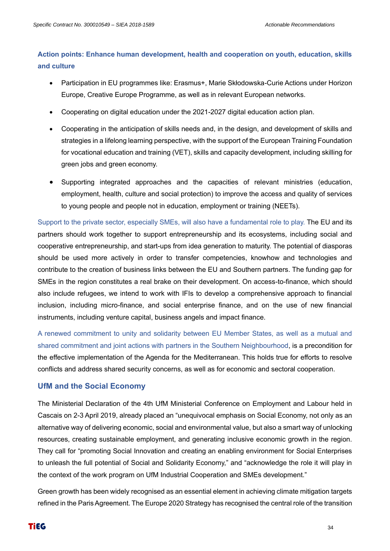#### **Action points: Enhance human development, health and cooperation on youth, education, skills and culture**

- Participation in EU programmes like: Erasmus+, Marie Skłodowska-Curie Actions under Horizon Europe, Creative Europe Programme, as well as in relevant European networks.
- Cooperating on digital education under the 2021-2027 digital education action plan.
- Cooperating in the anticipation of skills needs and, in the design, and development of skills and strategies in a lifelong learning perspective, with the support of the European Training Foundation for vocational education and training (VET), skills and capacity development, including skilling for green jobs and green economy.
- Supporting integrated approaches and the capacities of relevant ministries (education, employment, health, culture and social protection) to improve the access and quality of services to young people and people not in education, employment or training (NEETs).

Support to the private sector, especially SMEs, will also have a fundamental role to play. The EU and its partners should work together to support entrepreneurship and its ecosystems, including social and cooperative entrepreneurship, and start-ups from idea generation to maturity. The potential of diasporas should be used more actively in order to transfer competencies, knowhow and technologies and contribute to the creation of business links between the EU and Southern partners. The funding gap for SMEs in the region constitutes a real brake on their development. On access-to-finance, which should also include refugees, we intend to work with IFIs to develop a comprehensive approach to financial inclusion, including micro-finance, and social enterprise finance, and on the use of new financial instruments, including venture capital, business angels and impact finance.

A renewed commitment to unity and solidarity between EU Member States, as well as a mutual and shared commitment and joint actions with partners in the Southern Neighbourhood, is a precondition for the effective implementation of the Agenda for the Mediterranean. This holds true for efforts to resolve conflicts and address shared security concerns, as well as for economic and sectoral cooperation.

#### **UfM and the Social Economy**

The Ministerial Declaration of the 4th UfM Ministerial Conference on Employment and Labour held in Cascais on 2-3 April 2019, already placed an "unequivocal emphasis on Social Economy, not only as an alternative way of delivering economic, social and environmental value, but also a smart way of unlocking resources, creating sustainable employment, and generating inclusive economic growth in the region. They call for "promoting Social Innovation and creating an enabling environment for Social Enterprises to unleash the full potential of Social and Solidarity Economy," and "acknowledge the role it will play in the context of the work program on UfM Industrial Cooperation and SMEs development."

Green growth has been widely recognised as an essential element in achieving climate mitigation targets refined in the Paris Agreement. The Europe 2020 Strategy has recognised the central role of the transition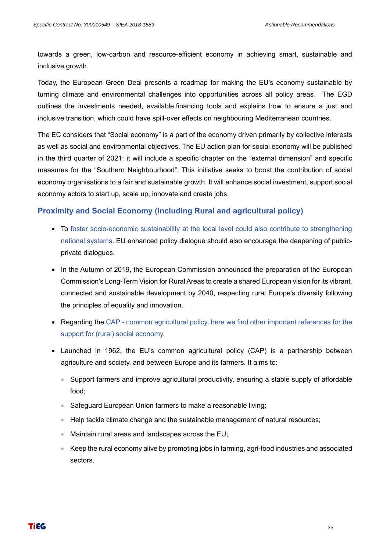towards a green, low-carbon and resource-efficient economy in achieving smart, sustainable and inclusive growth.

Today, the European Green Deal presents a roadmap for making the EU's economy sustainable by turning climate and environmental challenges into opportunities across all policy areas. The EGD outlines the investments needed, available financing tools and explains how to ensure a just and inclusive transition, which could have spill-over effects on neighbouring Mediterranean countries.

The EC considers that "Social economy" is a part of the economy driven primarily by collective interests as well as social and environmental objectives. The EU action plan for social economy will be published in the third quarter of 2021: it will include a specific chapter on the "external dimension" and specific measures for the "Southern Neighbourhood". This initiative seeks to boost the contribution of social economy organisations to a fair and sustainable growth. It will enhance social investment, support social economy actors to start up, scale up, innovate and create jobs.

#### **Proximity and Social Economy (including Rural and agricultural policy)**

- To foster socio-economic sustainability at the local level could also contribute to strengthening national systems. EU enhanced policy dialogue should also encourage the deepening of publicprivate dialogues.
- In the Autumn of 2019, the European Commission announced the preparation of the European Commission's Long-Term Vision for Rural Areas to create a shared European vision for its vibrant, connected and sustainable development by 2040, respecting rural Europe's diversity following the principles of equality and innovation.
- Regarding the CAP common agricultural policy, here we find other important references for the support for (rural) social economy.
- Launched in 1962, the EU's common agricultural policy (CAP) is a partnership between agriculture and society, and between Europe and its farmers. It aims to:
	- Support farmers and improve agricultural productivity, ensuring a stable supply of affordable food;
	- Safeguard European Union farmers to make a reasonable living;
	- Help tackle climate change and the sustainable management of natural resources;
	- Maintain rural areas and landscapes across the EU;
	- Keep the rural economy alive by promoting jobs in farming, agri-food industries and associated sectors.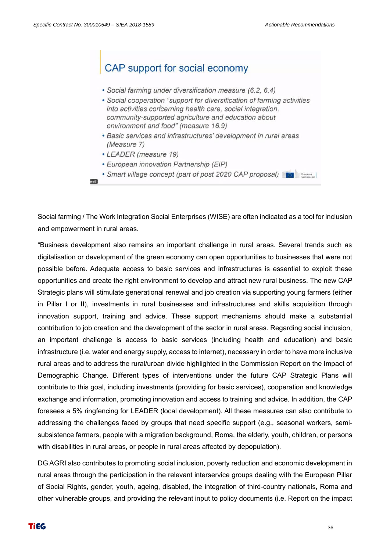are]

# CAP support for social economy • Social farming under diversification measure (6.2, 6.4)

- Social cooperation "support for diversification of farming activities into activities concerning health care, social integration, community-supported agriculture and education about environment and food" (measure 16.9)
- Basic services and infrastructures' development in rural areas (Measure 7)
- LEADER (measure 19)
- European innovation Partnership (EIP)
- Smart village concept (part of post 2020 CAP proposal)

Social farming / The Work Integration Social Enterprises (WISE) are often indicated as a tool for inclusion and empowerment in rural areas.

"Business development also remains an important challenge in rural areas. Several trends such as digitalisation or development of the green economy can open opportunities to businesses that were not possible before. Adequate access to basic services and infrastructures is essential to exploit these opportunities and create the right environment to develop and attract new rural business. The new CAP Strategic plans will stimulate generational renewal and job creation via supporting young farmers (either in Pillar I or II), investments in rural businesses and infrastructures and skills acquisition through innovation support, training and advice. These support mechanisms should make a substantial contribution to job creation and the development of the sector in rural areas. Regarding social inclusion, an important challenge is access to basic services (including health and education) and basic infrastructure (i.e. water and energy supply, access to internet), necessary in order to have more inclusive rural areas and to address the rural/urban divide highlighted in the Commission Report on the Impact of Demographic Change. Different types of interventions under the future CAP Strategic Plans will contribute to this goal, including investments (providing for basic services), cooperation and knowledge exchange and information, promoting innovation and access to training and advice. In addition, the CAP foresees a 5% ringfencing for LEADER (local development). All these measures can also contribute to addressing the challenges faced by groups that need specific support (e.g., seasonal workers, semisubsistence farmers, people with a migration background, Roma, the elderly, youth, children, or persons with disabilities in rural areas, or people in rural areas affected by depopulation).

DG AGRI also contributes to promoting social inclusion, poverty reduction and economic development in rural areas through the participation in the relevant interservice groups dealing with the European Pillar of Social Rights, gender, youth, ageing, disabled, the integration of third-country nationals, Roma and other vulnerable groups, and providing the relevant input to policy documents (i.e. Report on the impact